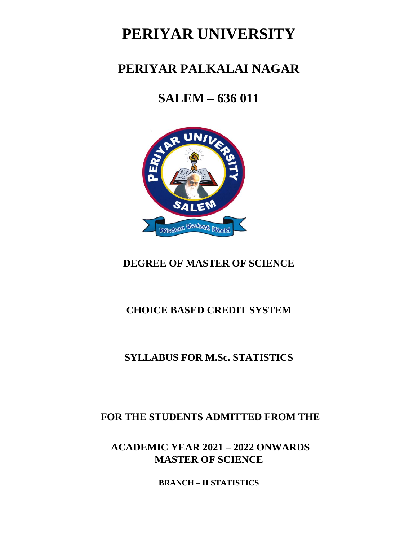# **PERIYAR UNIVERSITY**

## **PERIYAR PALKALAI NAGAR**

# **SALEM – 636 011**



## **DEGREE OF MASTER OF SCIENCE**

## **CHOICE BASED CREDIT SYSTEM**

## **SYLLABUS FOR M.Sc. STATISTICS**

## **FOR THE STUDENTS ADMITTED FROM THE**

**MASTER OF SCIENCE ACADEMIC YEAR 2021 – 2022 ONWARDS**

**BRANCH – II STATISTICS**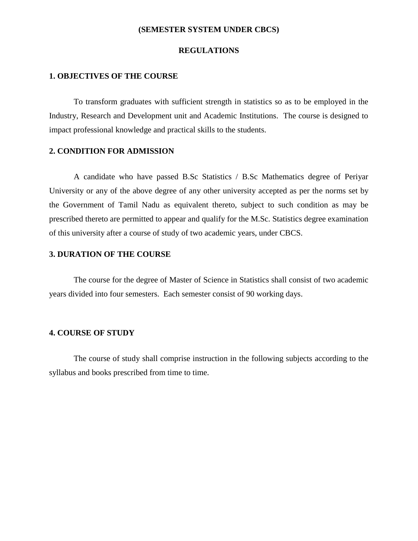#### **(SEMESTER SYSTEM UNDER CBCS)**

#### **REGULATIONS**

#### **1. OBJECTIVES OF THE COURSE**

To transform graduates with sufficient strength in statistics so as to be employed in the Industry, Research and Development unit and Academic Institutions. The course is designed to impact professional knowledge and practical skills to the students.

#### **2. CONDITION FOR ADMISSION**

A candidate who have passed B.Sc Statistics / B.Sc Mathematics degree of Periyar University or any of the above degree of any other university accepted as per the norms set by the Government of Tamil Nadu as equivalent thereto, subject to such condition as may be prescribed thereto are permitted to appear and qualify for the M.Sc. Statistics degree examination of this university after a course of study of two academic years, under CBCS.

#### **3. DURATION OF THE COURSE**

The course for the degree of Master of Science in Statistics shall consist of two academic years divided into four semesters. Each semester consist of 90 working days.

#### **4. COURSE OF STUDY**

The course of study shall comprise instruction in the following subjects according to the syllabus and books prescribed from time to time.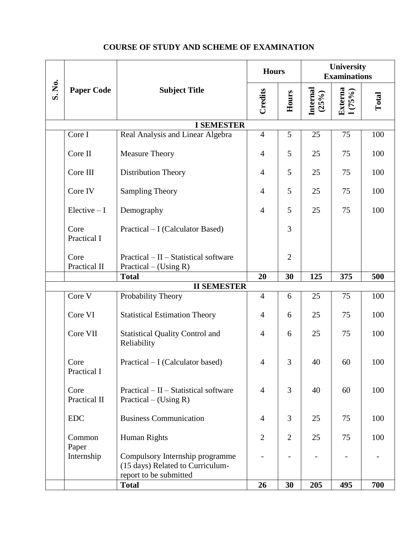## **COURSE OF STUDY AND SCHEME OF EXAMINATION**

|        |                                                                                                                                         |                                                       | <b>Hours</b>   |                | University<br><b>Examinations</b> |                   |       |
|--------|-----------------------------------------------------------------------------------------------------------------------------------------|-------------------------------------------------------|----------------|----------------|-----------------------------------|-------------------|-------|
| S. No. | <b>Paper Code</b>                                                                                                                       | <b>Subject Title</b>                                  | Credits        | Hours          | Internal<br>(25%)                 | Externa<br>1(75%) | Total |
|        |                                                                                                                                         | <b>I SEMESTER</b>                                     |                |                |                                   |                   |       |
|        | Core I                                                                                                                                  | Real Analysis and Linear Algebra                      | $\overline{4}$ | 5              | 25                                | 75                | 100   |
|        | Core II                                                                                                                                 | <b>Measure Theory</b>                                 | $\overline{4}$ | 5              | 25                                | 75                | 100   |
|        | Core III                                                                                                                                | Distribution Theory                                   | $\overline{4}$ | 5              | 25                                | 75                | 100   |
|        | Core IV                                                                                                                                 | <b>Sampling Theory</b>                                | $\overline{4}$ | 5              | 25                                | 75                | 100   |
|        | $Electric - I$                                                                                                                          | Demography                                            | $\overline{4}$ | 5              | 25                                | 75                | 100   |
|        | Core<br>Practical I                                                                                                                     | Practical – I (Calculator Based)                      |                | 3              |                                   |                   |       |
|        | Core<br>$Practical - II - Statistical software$<br>Practical II<br>Practical – (Using R)                                                |                                                       |                | $\overline{2}$ |                                   |                   |       |
|        |                                                                                                                                         | <b>Total</b>                                          | 20             | 30             | 125                               | 375               | 500   |
|        |                                                                                                                                         | <b>II SEMESTER</b>                                    |                |                |                                   |                   |       |
|        | Core $\overline{V}$                                                                                                                     | Probability Theory                                    | $\overline{4}$ | 6              | 25                                | 75                | 100   |
|        | Core VI                                                                                                                                 | <b>Statistical Estimation Theory</b>                  | $\overline{4}$ | 6              | 25                                | 75                | 100   |
|        | Core VII                                                                                                                                | <b>Statistical Quality Control and</b><br>Reliability | $\overline{4}$ | 6              | 25                                | 75                | 100   |
|        | Core<br>Practical – I (Calculator based)<br>Practical I                                                                                 |                                                       | $\overline{4}$ | 3              | 40                                | 60                | 100   |
|        | $Practical - II - Statistical software$<br>Core<br>Practical II<br>Practical – (Using R)<br><b>Business Communication</b><br><b>EDC</b> |                                                       | $\overline{4}$ | 3              | 40                                | 60                | 100   |
|        |                                                                                                                                         |                                                       | $\overline{4}$ | 3              | 25                                | 75                | 100   |
|        | Common<br>Paper                                                                                                                         | Human Rights                                          | $\overline{2}$ | $\overline{2}$ | 25                                | 75                | 100   |
|        | Internship<br>Compulsory Internship programme<br>(15 days) Related to Curriculum-<br>report to be submitted                             |                                                       |                |                |                                   |                   |       |
|        |                                                                                                                                         | <b>Total</b>                                          | 26             | 30             | 205                               | 495               | 700   |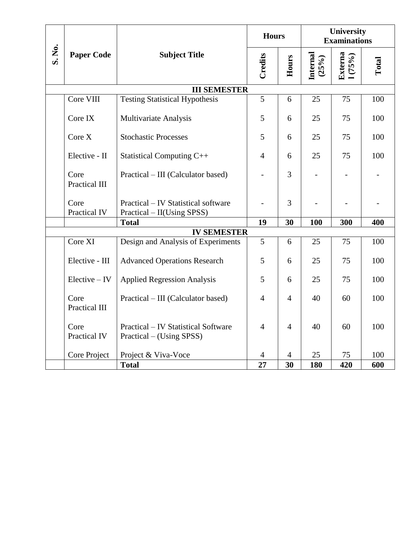|        |                                                       |                                                                   | <b>Hours</b>   |                | University<br><b>Examinations</b> |                          |       |
|--------|-------------------------------------------------------|-------------------------------------------------------------------|----------------|----------------|-----------------------------------|--------------------------|-------|
| S. No. | <b>Paper Code</b>                                     | <b>Subject Title</b>                                              | Credits        | Hours          | <b>Internal</b><br>(25%)          | Externa<br>1(75%)        | Total |
|        |                                                       | <b>III SEMESTER</b>                                               |                |                |                                   |                          |       |
|        | Core VIII                                             | <b>Testing Statistical Hypothesis</b>                             | $\overline{5}$ | 6              | 25                                | 75                       | 100   |
|        | Core IX                                               | Multivariate Analysis                                             | 5              | 6              | 25                                | 75                       | 100   |
|        | Core X                                                | <b>Stochastic Processes</b>                                       | 5              | 6              | 25                                | 75                       | 100   |
|        | Elective - II                                         | Statistical Computing C++                                         | $\overline{4}$ | 6              | 25                                | 75                       | 100   |
|        | Core<br><b>Practical III</b>                          | Practical – III (Calculator based)                                |                | 3              |                                   | $\overline{\phantom{0}}$ |       |
|        | Core<br>Practical IV                                  | Practical – IV Statistical software<br>Practical – II(Using SPSS) |                | 3              |                                   |                          |       |
|        |                                                       | <b>Total</b>                                                      | 19             | 30             | 100                               | 300                      | 400   |
|        | <b>IV SEMESTER</b>                                    |                                                                   |                |                |                                   |                          |       |
|        | Core XI                                               | Design and Analysis of Experiments                                | $\overline{5}$ | 6              | 25                                | 75                       | 100   |
|        | Elective - III                                        | <b>Advanced Operations Research</b>                               | 5              | 6              | 25                                | 75                       | 100   |
|        | $Electric - IV$<br><b>Applied Regression Analysis</b> |                                                                   | 5              | 6              | 25                                | 75                       | 100   |
|        | Core<br>Practical III                                 | Practical – III (Calculator based)                                | $\overline{4}$ | $\overline{4}$ | 40                                | 60                       | 100   |
|        | Core<br>Practical IV                                  | Practical – IV Statistical Software<br>Practical – (Using SPSS)   | $\overline{4}$ | $\overline{4}$ | 40                                | 60                       | 100   |
|        | Core Project                                          | Project & Viva-Voce                                               | 4              | 4              | 25                                | 75                       | 100   |
|        |                                                       | <b>Total</b>                                                      | 27             | 30             | 180                               | 420                      | 600   |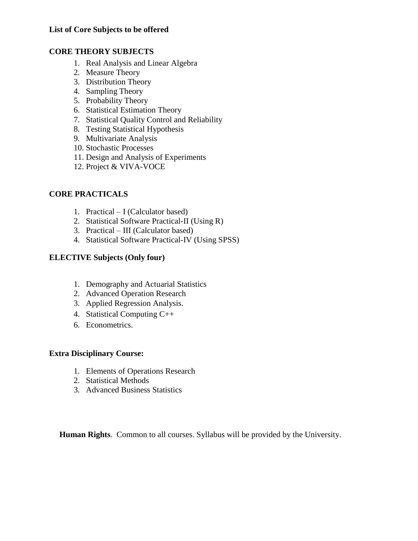#### **List of Core Subjects to be offered**

#### **CORE THEORY SUBJECTS**

- 1. Real Analysis and Linear Algebra
- 2. Measure Theory
- 3. Distribution Theory
- 4. Sampling Theory
- 5. Probability Theory
- 6. Statistical Estimation Theory
- 7. Statistical Quality Control and Reliability
- 8. Testing Statistical Hypothesis
- 9. Multivariate Analysis
- 10. Stochastic Processes
- 11. Design and Analysis of Experiments
- 12. Project & VIVA-VOCE

#### **CORE PRACTICALS**

- 1. Practical I (Calculator based)
- 2. Statistical Software Practical-II (Using R)
- 3. Practical III (Calculator based)
- 4. Statistical Software Practical-IV (Using SPSS)

#### **ELECTIVE Subjects (Only four)**

- 1. Demography and Actuarial Statistics
- 2. Advanced Operation Research
- 3. Applied Regression Analysis.
- 4. Statistical Computing C++
- 6. Econometrics.

#### **Extra Disciplinary Course:**

- 1. Elements of Operations Research
- 2. Statistical Methods
- 3. Advanced Business Statistics

 **Human Rights**. Common to all courses. Syllabus will be provided by the University.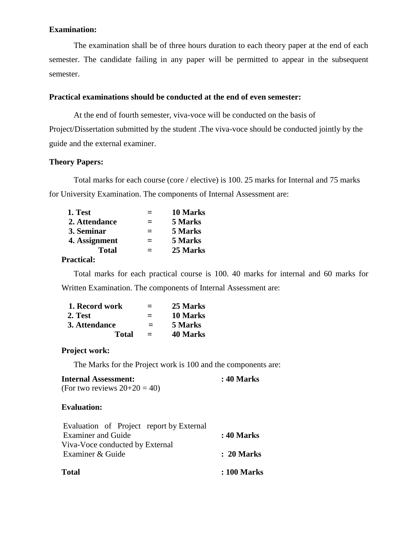#### **Examination:**

The examination shall be of three hours duration to each theory paper at the end of each semester. The candidate failing in any paper will be permitted to appear in the subsequent semester.

#### **Practical examinations should be conducted at the end of even semester:**

At the end of fourth semester, viva-voce will be conducted on the basis of Project/Dissertation submitted by the student .The viva-voce should be conducted jointly by the guide and the external examiner.

#### **Theory Papers:**

Total marks for each course (core / elective) is 100. 25 marks for Internal and 75 marks for University Examination. The components of Internal Assessment are:

| 1. Test       | $\equiv$ | 10 Marks |
|---------------|----------|----------|
| 2. Attendance | $=$      | 5 Marks  |
| 3. Seminar    | $=$      | 5 Marks  |
| 4. Assignment | $=$      | 5 Marks  |
| <b>Total</b>  | $=$      | 25 Marks |
| י ה           |          |          |

### **Practical:**

Total marks for each practical course is 100. 40 marks for internal and 60 marks for Written Examination. The components of Internal Assessment are:

| 1. Record work | $=$ | 25 Marks        |
|----------------|-----|-----------------|
| 2. Test        | $=$ | 10 Marks        |
| 3. Attendance  | $=$ | 5 Marks         |
| Total          | $=$ | <b>40 Marks</b> |

#### **Project work:**

The Marks for the Project work is 100 and the components are:

| <b>Internal Assessment:</b>   | : 40 Marks |
|-------------------------------|------------|
| (For two reviews $20+20=40$ ) |            |

## **Evaluation:**

| Total                                    | : 100 Marks           |
|------------------------------------------|-----------------------|
| Examiner & Guide                         | $\therefore$ 20 Marks |
| Viva-Voce conducted by External          |                       |
| <b>Examiner and Guide</b>                | : 40 Marks            |
| Evaluation of Project report by External |                       |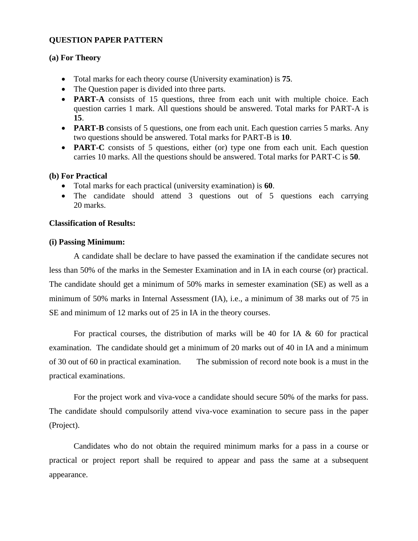#### **QUESTION PAPER PATTERN**

#### **(a) For Theory**

- Total marks for each theory course (University examination) is **75**.
- The Question paper is divided into three parts.
- **PART-A** consists of 15 questions, three from each unit with multiple choice. Each question carries 1 mark. All questions should be answered. Total marks for PART-A is **15**.
- **PART-B** consists of 5 questions, one from each unit. Each question carries 5 marks. Any two questions should be answered. Total marks for PART-B is **10**.
- **PART-C** consists of 5 questions, either (or) type one from each unit. Each question carries 10 marks. All the questions should be answered. Total marks for PART-C is **50**.

#### **(b) For Practical**

- Total marks for each practical (university examination) is **60**.
- The candidate should attend 3 questions out of 5 questions each carrying 20 marks.

#### **Classification of Results:**

#### **(i) Passing Minimum:**

A candidate shall be declare to have passed the examination if the candidate secures not less than 50% of the marks in the Semester Examination and in IA in each course (or) practical. The candidate should get a minimum of 50% marks in semester examination (SE) as well as a minimum of 50% marks in Internal Assessment (IA), i.e., a minimum of 38 marks out of 75 in SE and minimum of 12 marks out of 25 in IA in the theory courses.

For practical courses, the distribution of marks will be 40 for IA  $\&$  60 for practical examination. The candidate should get a minimum of 20 marks out of 40 in IA and a minimum of 30 out of 60 in practical examination. The submission of record note book is a must in the practical examinations.

For the project work and viva-voce a candidate should secure 50% of the marks for pass. The candidate should compulsorily attend viva-voce examination to secure pass in the paper (Project).

Candidates who do not obtain the required minimum marks for a pass in a course or practical or project report shall be required to appear and pass the same at a subsequent appearance.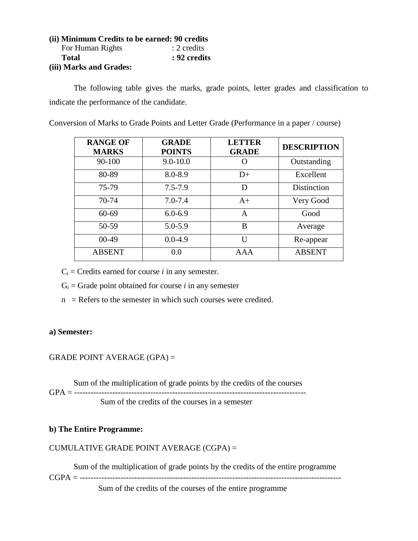## **(ii) Minimum Credits to be earned: 90 credits** For Human Rights : 2 credits  **Total : 92 credits**

#### **(iii) Marks and Grades:**

The following table gives the marks, grade points, letter grades and classification to indicate the performance of the candidate.

Conversion of Marks to Grade Points and Letter Grade (Performance in a paper / course)

| <b>RANGE OF</b><br><b>MARKS</b> | <b>GRADE</b><br><b>POINTS</b> | <b>LETTER</b><br><b>GRADE</b> | <b>DESCRIPTION</b> |
|---------------------------------|-------------------------------|-------------------------------|--------------------|
| 90-100                          | $9.0 - 10.0$                  |                               | Outstanding        |
| 80-89                           | 8.0-8.9                       | $D+$                          | Excellent          |
| 75-79                           | $7.5 - 7.9$                   | D                             | Distinction        |
| 70-74                           | $7.0 - 7.4$                   | $A+$                          | Very Good          |
| 60-69                           | $6.0 - 6.9$                   | A                             | Good               |
| 50-59                           | $5.0 - 5.9$                   | B                             | Average            |
| $00-49$                         | $0.0 - 4.9$                   | Ħ                             | Re-appear          |
| <b>ABSENT</b>                   | 0.0                           | AAA                           | <b>ABSENT</b>      |

 $C_i$  = Credits earned for course *i* in any semester.

 $G_i$  = Grade point obtained for course *i* in any semester

 $n =$ Refers to the semester in which such courses were credited.

#### **a) Semester:**

### GRADE POINT AVERAGE (GPA) =

Sum of the multiplication of grade points by the credits of the courses

GPA = ------------------------------------------------------------------------------------- Sum of the credits of the courses in a semester

#### **b) The Entire Programme:**

#### CUMULATIVE GRADE POINT AVERAGE (CGPA) =

Sum of the multiplication of grade points by the credits of the entire programme

CGPA = ------------------------------------------------------------------------------------------------

Sum of the credits of the courses of the entire programme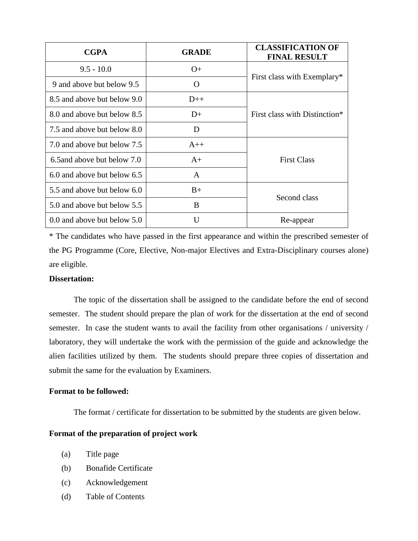| <b>CGPA</b>                 | <b>GRADE</b> | <b>CLASSIFICATION OF</b><br><b>FINAL RESULT</b> |  |
|-----------------------------|--------------|-------------------------------------------------|--|
| $9.5 - 10.0$                | $O+$         | First class with Exemplary*                     |  |
| 9 and above but below 9.5   | $\Omega$     |                                                 |  |
| 8.5 and above but below 9.0 | $D++$        |                                                 |  |
| 8.0 and above but below 8.5 | $D+$         | First class with Distinction*                   |  |
| 7.5 and above but below 8.0 | D            |                                                 |  |
| 7.0 and above but below 7.5 | $A++$        |                                                 |  |
| 6.5 and above but below 7.0 | $A+$         | <b>First Class</b>                              |  |
| 6.0 and above but below 6.5 | A            |                                                 |  |
| 5.5 and above but below 6.0 | $B+$         | Second class                                    |  |
| 5.0 and above but below 5.5 | B            |                                                 |  |
| 0.0 and above but below 5.0 | U            | Re-appear                                       |  |

\* The candidates who have passed in the first appearance and within the prescribed semester of the PG Programme (Core, Elective, Non-major Electives and Extra-Disciplinary courses alone) are eligible.

#### **Dissertation:**

The topic of the dissertation shall be assigned to the candidate before the end of second semester. The student should prepare the plan of work for the dissertation at the end of second semester. In case the student wants to avail the facility from other organisations / university / laboratory, they will undertake the work with the permission of the guide and acknowledge the alien facilities utilized by them. The students should prepare three copies of dissertation and submit the same for the evaluation by Examiners.

#### **Format to be followed:**

The format / certificate for dissertation to be submitted by the students are given below.

#### **Format of the preparation of project work**

- (a) Title page
- (b) Bonafide Certificate
- (c) Acknowledgement
- (d) Table of Contents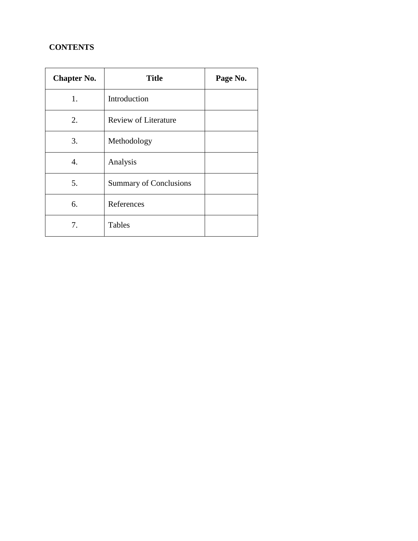## **CONTENTS**

| <b>Chapter No.</b> | <b>Title</b>                  | Page No. |
|--------------------|-------------------------------|----------|
| 1.                 | Introduction                  |          |
| 2.                 | <b>Review of Literature</b>   |          |
| 3.                 | Methodology                   |          |
| 4.                 | Analysis                      |          |
| 5.                 | <b>Summary of Conclusions</b> |          |
| 6.                 | References                    |          |
| 7.                 | <b>Tables</b>                 |          |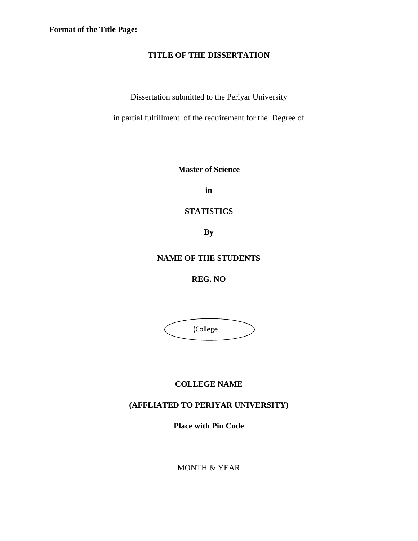**Format of the Title Page:**

#### **TITLE OF THE DISSERTATION**

Dissertation submitted to the Periyar University

in partial fulfillment of the requirement for the Degree of

**Master of Science** 

**in** 

**STATISTICS**

**By**

## **NAME OF THE STUDENTS**

**REG. NO**

 (College  $\overline{\phantom{0}}$ 

## **COLLEGE NAME**

## **(AFFLIATED TO PERIYAR UNIVERSITY)**

**Place with Pin Code**

MONTH & YEAR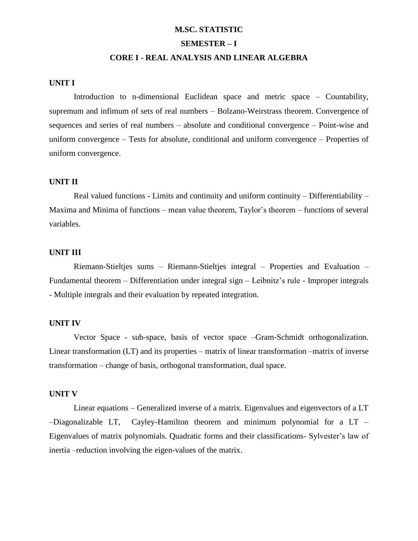#### **M.SC. STATISTIC**

#### **SEMESTER – I**

#### **CORE I - REAL ANALYSIS AND LINEAR ALGEBRA**

#### **UNIT I**

Introduction to n-dimensional Euclidean space and metric space – Countability, supremum and infimum of sets of real numbers – Bolzano-Weirstrass theorem. Convergence of sequences and series of real numbers – absolute and conditional convergence – Point-wise and uniform convergence – Tests for absolute, conditional and uniform convergence – Properties of uniform convergence.

#### **UNIT II**

Real valued functions - Limits and continuity and uniform continuity – Differentiability – Maxima and Minima of functions – mean value theorem, Taylor's theorem – functions of several variables.

#### **UNIT III**

Riemann-Stieltjes sums – Riemann-Stieltjes integral – Properties and Evaluation – Fundamental theorem – Differentiation under integral sign – Leibnitz's rule - Improper integrals - Multiple integrals and their evaluation by repeated integration.

#### **UNIT IV**

Vector Space - sub-space, basis of vector space –Gram-Schmidt orthogonalization. Linear transformation (LT) and its properties – matrix of linear transformation –matrix of inverse transformation – change of basis, orthogonal transformation, dual space.

#### **UNIT V**

Linear equations – Generalized inverse of a matrix. Eigenvalues and eigenvectors of a LT –Diagonalizable LT, Cayley-Hamilton theorem and minimum polynomial for a LT – Eigenvalues of matrix polynomials. Quadratic forms and their classifications- Sylvester"s law of inertia –reduction involving the eigen-values of the matrix.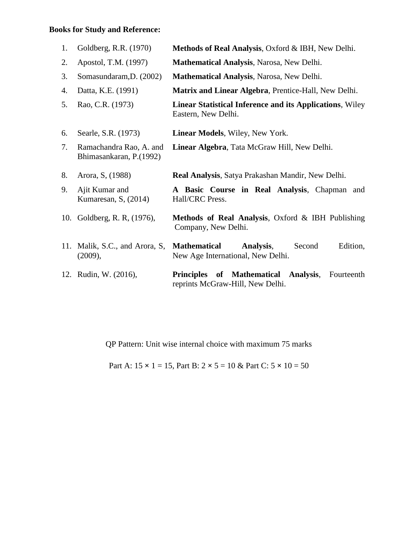## **Books for Study and Reference:**

| 1. | Goldberg, R.R. (1970)                              | Methods of Real Analysis, Oxford & IBH, New Delhi.                                                  |
|----|----------------------------------------------------|-----------------------------------------------------------------------------------------------------|
| 2. | Apostol, T.M. (1997)                               | Mathematical Analysis, Narosa, New Delhi.                                                           |
| 3. | Somasundaram, D. (2002)                            | Mathematical Analysis, Narosa, New Delhi.                                                           |
| 4. | Datta, K.E. (1991)                                 | Matrix and Linear Algebra, Prentice-Hall, New Delhi.                                                |
| 5. | Rao, C.R. (1973)                                   | Linear Statistical Inference and its Applications, Wiley<br>Eastern, New Delhi.                     |
| 6. | Searle, S.R. (1973)                                | Linear Models, Wiley, New York.                                                                     |
| 7. | Ramachandra Rao, A. and<br>Bhimasankaran, P.(1992) | Linear Algebra, Tata McGraw Hill, New Delhi.                                                        |
| 8. | Arora, S. (1988)                                   | Real Analysis, Satya Prakashan Mandir, New Delhi.                                                   |
| 9. | Ajit Kumar and<br>Kumaresan, S, $(2014)$           | A Basic Course in Real Analysis, Chapman and<br>Hall/CRC Press.                                     |
|    | 10. Goldberg, R. R, (1976),                        | Methods of Real Analysis, Oxford & IBH Publishing<br>Company, New Delhi.                            |
|    | 11. Malik, S.C., and Arora, S.<br>(2009),          | <b>Mathematical</b><br>Analysis,<br>Edition,<br>Second<br>New Age International, New Delhi.         |
|    | 12. Rudin, W. (2016),                              | of Mathematical<br>Analysis,<br><b>Principles</b><br>Fourteenth<br>reprints McGraw-Hill, New Delhi. |

QP Pattern: Unit wise internal choice with maximum 75 marks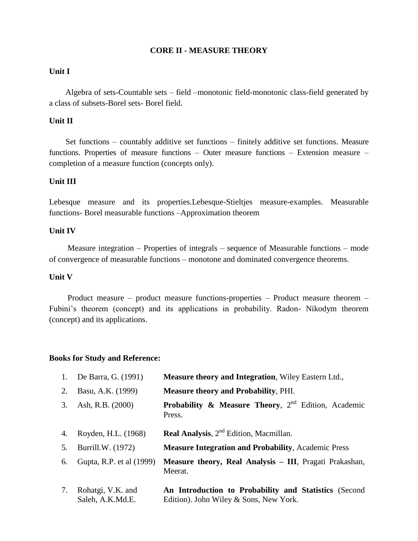#### **CORE II - MEASURE THEORY**

#### **Unit I**

 Algebra of sets-Countable sets – field –monotonic field-monotonic class-field generated by a class of subsets-Borel sets- Borel field.

#### **Unit II**

 Set functions – countably additive set functions – finitely additive set functions. Measure functions. Properties of measure functions – Outer measure functions – Extension measure – completion of a measure function (concepts only).

#### **Unit III**

Lebesque measure and its properties.Lebesque-Stieltjes measure-examples. Measurable functions- Borel measurable functions –Approximation theorem

#### **Unit IV**

 Measure integration – Properties of integrals – sequence of Measurable functions – mode of convergence of measurable functions – monotone and dominated convergence theorems.

#### **Unit V**

 Product measure – product measure functions-properties – Product measure theorem – Fubini"s theorem (concept) and its applications in probability. Radon- Nikodym theorem (concept) and its applications.

#### **Books for Study and Reference:**

| 1. | De Barra, G. (1991)                   | Measure theory and Integration, Wiley Eastern Ltd.,                                             |
|----|---------------------------------------|-------------------------------------------------------------------------------------------------|
| 2. | Basu, A.K. (1999)                     | <b>Measure theory and Probability, PHI.</b>                                                     |
| 3. | Ash, R.B. (2000)                      | <b>Probability &amp; Measure Theory, 2<sup>nd</sup> Edition, Academic</b><br>Press.             |
| 4. | Royden, H.L. (1968)                   | Real Analysis, 2 <sup>nd</sup> Edition, Macmillan.                                              |
| 5. | Burrill.W. (1972)                     | <b>Measure Integration and Probability, Academic Press</b>                                      |
| 6. | Gupta, R.P. et al (1999)              | Measure theory, Real Analysis - III, Pragati Prakashan,<br>Meerat.                              |
| 7. | Rohatgi, V.K. and<br>Saleh, A.K.Md.E. | An Introduction to Probability and Statistics (Second<br>Edition). John Wiley & Sons, New York. |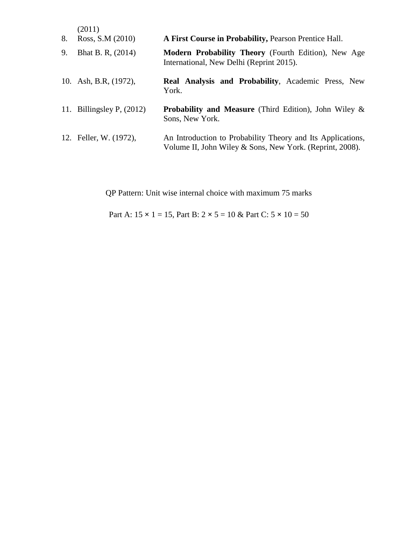| 8. | (2011)<br>Ross, S.M (2010)  | A First Course in Probability, Pearson Prentice Hall.                                                                   |
|----|-----------------------------|-------------------------------------------------------------------------------------------------------------------------|
| 9. | Bhat B. R, (2014)           | <b>Modern Probability Theory</b> (Fourth Edition), New Age<br>International, New Delhi (Reprint 2015).                  |
|    | 10. Ash, B.R, (1972),       | Real Analysis and Probability, Academic Press, New<br>York.                                                             |
|    | 11. Billingsley P, $(2012)$ | <b>Probability and Measure</b> (Third Edition), John Wiley $\&$<br>Sons, New York.                                      |
|    | 12. Feller, W. (1972),      | An Introduction to Probability Theory and Its Applications,<br>Volume II, John Wiley & Sons, New York. (Reprint, 2008). |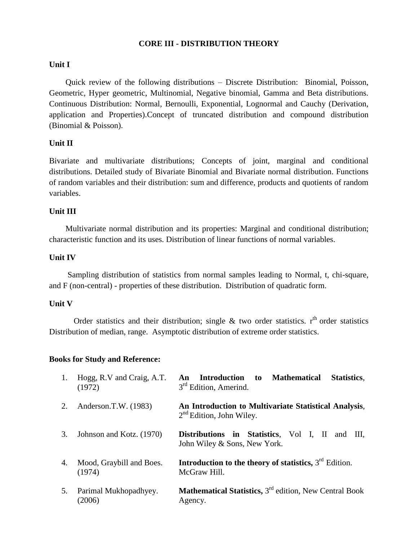#### **CORE III - DISTRIBUTION THEORY**

#### **Unit I**

 Quick review of the following distributions – Discrete Distribution: Binomial, Poisson, Geometric, Hyper geometric, Multinomial, Negative binomial, Gamma and Beta distributions. Continuous Distribution: Normal, Bernoulli, Exponential, Lognormal and Cauchy (Derivation, application and Properties).Concept of truncated distribution and compound distribution (Binomial & Poisson).

#### **Unit II**

Bivariate and multivariate distributions; Concepts of joint, marginal and conditional distributions. Detailed study of Bivariate Binomial and Bivariate normal distribution. Functions of random variables and their distribution: sum and difference, products and quotients of random variables.

#### **Unit III**

 Multivariate normal distribution and its properties: Marginal and conditional distribution; characteristic function and its uses. Distribution of linear functions of normal variables.

#### **Unit IV**

 Sampling distribution of statistics from normal samples leading to Normal, t, chi-square, and F (non-central) - properties of these distribution. Distribution of quadratic form.

#### **Unit V**

Order statistics and their distribution; single  $\&$  two order statistics.  $r<sup>th</sup>$  order statistics Distribution of median, range. Asymptotic distribution of extreme order statistics.

#### **Books for Study and Reference:**

| 1. | Hogg, R.V and Craig, A.T.<br>(1972) | <b>Introduction</b><br><b>Mathematical</b><br>Statistics.<br>to<br>An<br>3 <sup>rd</sup> Edition, Amerind. |
|----|-------------------------------------|------------------------------------------------------------------------------------------------------------|
| 2. | Anderson.T.W. (1983)                | An Introduction to Multivariate Statistical Analysis,<br>$2nd$ Edition, John Wiley.                        |
| 3. | Johnson and Kotz. (1970)            | Distributions in Statistics, Vol I, II<br>and III.<br>John Wiley & Sons, New York.                         |
| 4. | Mood, Graybill and Boes.<br>(1974)  | <b>Introduction to the theory of statistics,</b> $3^{rd}$ Edition.<br>McGraw Hill.                         |
| 5. | Parimal Mukhopadhyey.<br>(2006)     | <b>Mathematical Statistics, 3<sup>rd</sup> edition, New Central Book</b><br>Agency.                        |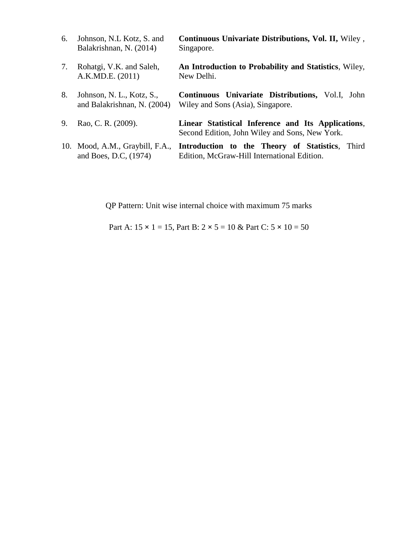| 6. | Johnson, N.L. Kotz, S. and<br>Balakrishnan, N. (2014)    | Continuous Univariate Distributions, Vol. II, Wiley,<br>Singapore.                                   |
|----|----------------------------------------------------------|------------------------------------------------------------------------------------------------------|
| 7. | Rohatgi, V.K. and Saleh,<br>A.K.MD.E. (2011)             | An Introduction to Probability and Statistics, Wiley,<br>New Delhi.                                  |
| 8. | Johnson, N. L., Kotz, S.,<br>and Balakrishnan, N. (2004) | <b>Continuous Univariate Distributions, Vol.I, John</b><br>Wiley and Sons (Asia), Singapore.         |
| 9. | Rao, C. R. (2009).                                       | Linear Statistical Inference and Its Applications,<br>Second Edition, John Wiley and Sons, New York. |
|    | 10. Mood, A.M., Graybill, F.A.,<br>and Boes, D.C. (1974) | Introduction to the Theory of Statistics, Third<br>Edition, McGraw-Hill International Edition.       |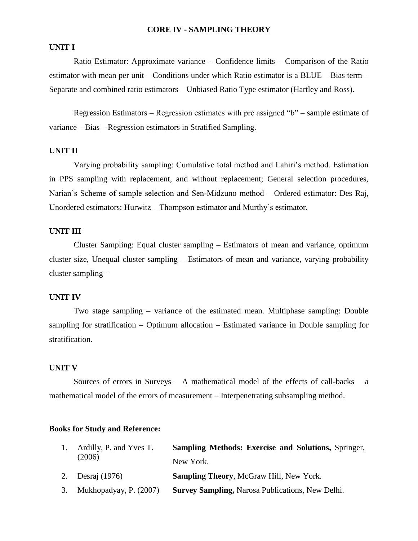#### **CORE IV - SAMPLING THEORY**

#### **UNIT I**

Ratio Estimator: Approximate variance – Confidence limits – Comparison of the Ratio estimator with mean per unit – Conditions under which Ratio estimator is a BLUE – Bias term – Separate and combined ratio estimators – Unbiased Ratio Type estimator (Hartley and Ross).

Regression Estimators – Regression estimates with pre assigned "b" – sample estimate of variance – Bias – Regression estimators in Stratified Sampling.

#### **UNIT II**

Varying probability sampling: Cumulative total method and Lahiri"s method. Estimation in PPS sampling with replacement, and without replacement; General selection procedures, Narian"s Scheme of sample selection and Sen-Midzuno method – Ordered estimator: Des Raj, Unordered estimators: Hurwitz – Thompson estimator and Murthy"s estimator.

#### **UNIT III**

Cluster Sampling: Equal cluster sampling – Estimators of mean and variance, optimum cluster size, Unequal cluster sampling – Estimators of mean and variance, varying probability cluster sampling –

#### **UNIT IV**

Two stage sampling – variance of the estimated mean. Multiphase sampling: Double sampling for stratification – Optimum allocation – Estimated variance in Double sampling for stratification.

#### **UNIT V**

Sources of errors in Surveys – A mathematical model of the effects of call-backs – a mathematical model of the errors of measurement – Interpenetrating subsampling method.

#### **Books for Study and Reference:**

| 1. | Ardilly, P. and Yves T.   | <b>Sampling Methods: Exercise and Solutions, Springer,</b> |
|----|---------------------------|------------------------------------------------------------|
|    | (2006)                    | New York.                                                  |
|    | 2. Desraj (1976)          | <b>Sampling Theory, McGraw Hill, New York.</b>             |
|    | 3. Mukhopadyay, P. (2007) | <b>Survey Sampling, Narosa Publications, New Delhi.</b>    |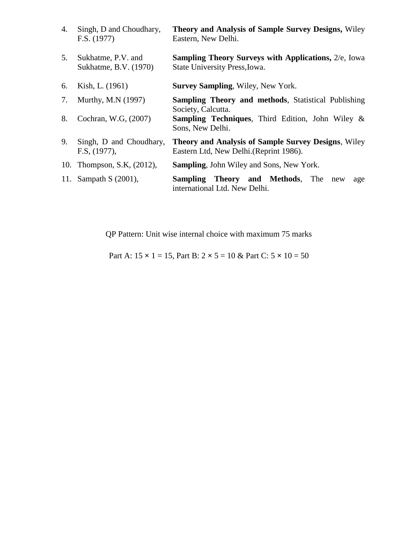| 4. | Singh, D and Choudhary,<br>F.S. (1977)      | <b>Theory and Analysis of Sample Survey Designs, Wiley</b><br>Eastern, New Delhi.                     |
|----|---------------------------------------------|-------------------------------------------------------------------------------------------------------|
| 5. | Sukhatme, P.V. and<br>Sukhatme, B.V. (1970) | <b>Sampling Theory Surveys with Applications, 2/e, Iowa</b><br>State University Press, Iowa.          |
| 6. | Kish, L. (1961)                             | <b>Survey Sampling, Wiley, New York.</b>                                                              |
|    | 7. Murthy, M.N (1997)                       | <b>Sampling Theory and methods, Statistical Publishing</b><br>Society, Calcutta.                      |
| 8. | Cochran, W.G. (2007)                        | <b>Sampling Techniques</b> , Third Edition, John Wiley &<br>Sons, New Delhi.                          |
| 9. | Singh, D and Choudhary,<br>F.S. (1977),     | <b>Theory and Analysis of Sample Survey Designs, Wiley</b><br>Eastern Ltd, New Delhi. (Reprint 1986). |
|    | 10. Thompson, S.K. (2012),                  | <b>Sampling, John Wiley and Sons, New York.</b>                                                       |
|    | 11. Sampath S (2001),                       | <b>Sampling Theory and Methods</b> , The new<br>age<br>international Ltd. New Delhi.                  |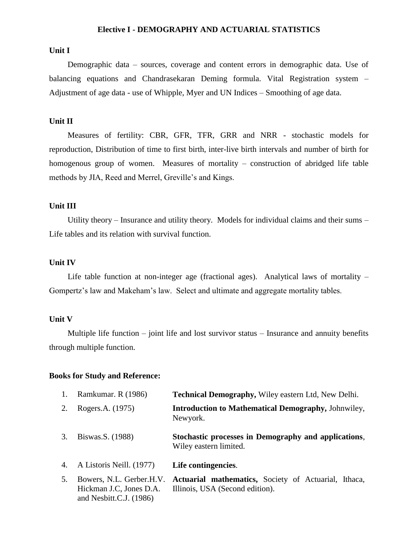#### **Elective I - DEMOGRAPHY AND ACTUARIAL STATISTICS**

#### **Unit I**

 Demographic data – sources, coverage and content errors in demographic data. Use of balancing equations and Chandrasekaran Deming formula. Vital Registration system – Adjustment of age data - use of Whipple, Myer and UN Indices – Smoothing of age data.

#### **Unit II**

 Measures of fertility: CBR, GFR, TFR, GRR and NRR - stochastic models for reproduction, Distribution of time to first birth, inter-live birth intervals and number of birth for homogenous group of women. Measures of mortality – construction of abridged life table methods by JIA, Reed and Merrel, Greville"s and Kings.

#### **Unit III**

 Utility theory – Insurance and utility theory. Models for individual claims and their sums – Life tables and its relation with survival function.

#### **Unit IV**

 Life table function at non-integer age (fractional ages). Analytical laws of mortality – Gompertz's law and Makeham's law. Select and ultimate and aggregate mortality tables.

#### **Unit V**

 Multiple life function – joint life and lost survivor status – Insurance and annuity benefits through multiple function.

#### **Books for Study and Reference:**

and Nesbitt.C.J. (1986)

| 1. | Ramkumar. R (1986)                                  | <b>Technical Demography, Wiley eastern Ltd, New Delhi.</b>                              |
|----|-----------------------------------------------------|-----------------------------------------------------------------------------------------|
| 2. | Rogers.A. (1975)                                    | <b>Introduction to Mathematical Demography, Johnwiley,</b><br>Newyork.                  |
| 3. | Biswas.S. (1988)                                    | Stochastic processes in Demography and applications,<br>Wiley eastern limited.          |
| 4. | A Listoris Neill. (1977)                            | Life contingencies.                                                                     |
| 5. | Bowers, N.L. Gerber.H.V.<br>Hickman J.C, Jones D.A. | Actuarial mathematics, Society of Actuarial, Ithaca,<br>Illinois, USA (Second edition). |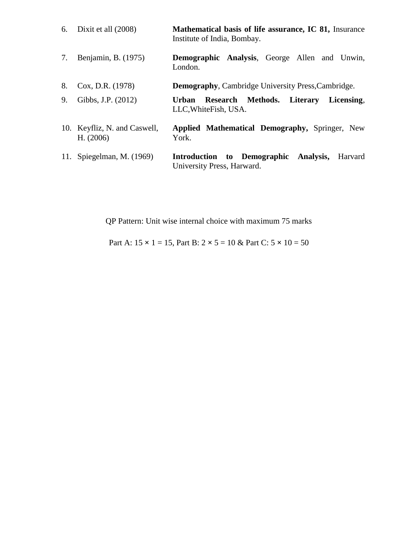|    | 6. Dixit et all $(2008)$                  | Mathematical basis of life assurance, IC 81, Insurance<br>Institute of India, Bombay. |
|----|-------------------------------------------|---------------------------------------------------------------------------------------|
| 7. | Benjamin, B. (1975)                       | <b>Demographic Analysis, George Allen and Unwin,</b><br>London.                       |
| 8. | Cox, D.R. (1978)                          | <b>Demography, Cambridge University Press, Cambridge.</b>                             |
| 9. | Gibbs, J.P. (2012)                        | Research Methods. Literary Licensing,<br><b>Urban</b><br>LLC, White Fish, USA.        |
|    | 10. Keyfliz, N. and Caswell,<br>H. (2006) | Applied Mathematical Demography, Springer, New<br>York.                               |
|    | 11. Spiegelman, M. (1969)                 | Introduction to Demographic Analysis,<br>Harvard<br>University Press, Harward.        |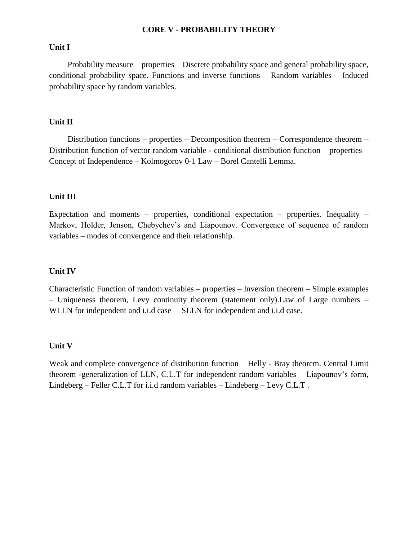#### **CORE V - PROBABILITY THEORY**

#### **Unit I**

 Probability measure – properties – Discrete probability space and general probability space, conditional probability space. Functions and inverse functions – Random variables – Induced probability space by random variables.

#### **Unit II**

 Distribution functions – properties – Decomposition theorem – Correspondence theorem – Distribution function of vector random variable - conditional distribution function – properties – Concept of Independence – Kolmogorov 0-1 Law – Borel Cantelli Lemma.

#### **Unit III**

Expectation and moments – properties, conditional expectation – properties. Inequality – Markov, Holder, Jenson, Chebychev's and Liapounov. Convergence of sequence of random variables – modes of convergence and their relationship.

#### **Unit IV**

Characteristic Function of random variables – properties – Inversion theorem – Simple examples – Uniqueness theorem, Levy continuity theorem (statement only).Law of Large numbers – WLLN for independent and i.i.d case – SLLN for independent and i.i.d case.

#### **Unit V**

Weak and complete convergence of distribution function – Helly - Bray theorem. Central Limit theorem -generalization of LLN, C.L.T for independent random variables – Liapounov's form, Lindeberg – Feller C.L.T for i.i.d random variables – Lindeberg – Levy C.L.T .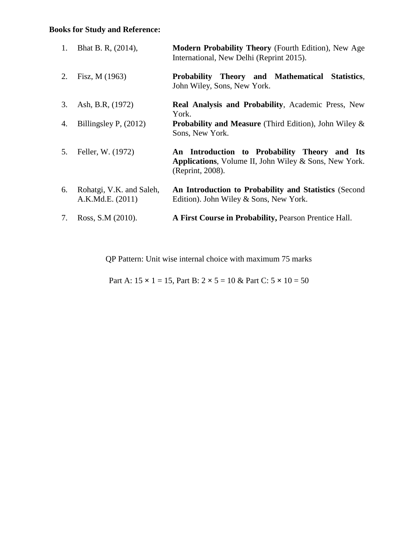## **Books for Study and Reference:**

| 1. | Bhat B. R, (2014),                           | Modern Probability Theory (Fourth Edition), New Age<br>International, New Delhi (Reprint 2015).                            |
|----|----------------------------------------------|----------------------------------------------------------------------------------------------------------------------------|
| 2. | Fisz, M (1963)                               | Probability Theory and Mathematical Statistics,<br>John Wiley, Sons, New York.                                             |
| 3. | Ash, B.R, (1972)                             | <b>Real Analysis and Probability, Academic Press, New</b><br>York.                                                         |
| 4. | Billingsley P, $(2012)$                      | <b>Probability and Measure</b> (Third Edition), John Wiley $\&$<br>Sons, New York.                                         |
| 5. | Feller, W. (1972)                            | An Introduction to Probability Theory and Its<br>Applications, Volume II, John Wiley & Sons, New York.<br>(Reprint, 2008). |
| 6. | Rohatgi, V.K. and Saleh,<br>A.K.Md.E. (2011) | An Introduction to Probability and Statistics (Second<br>Edition). John Wiley & Sons, New York.                            |
| 7. | Ross, S.M (2010).                            | A First Course in Probability, Pearson Prentice Hall.                                                                      |

QP Pattern: Unit wise internal choice with maximum 75 marks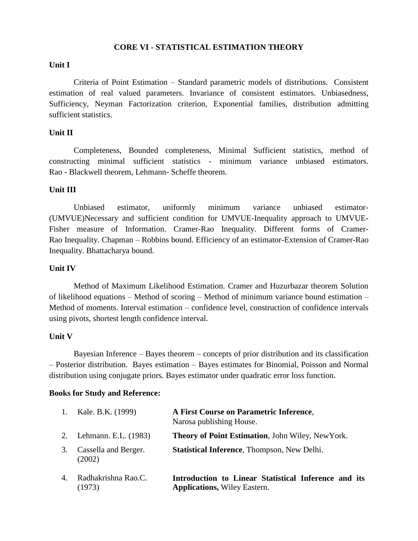#### **CORE VI - STATISTICAL ESTIMATION THEORY**

#### **Unit I**

Criteria of Point Estimation – Standard parametric models of distributions. Consistent estimation of real valued parameters. Invariance of consistent estimators. Unbiasedness, Sufficiency, Neyman Factorization criterion, Exponential families, distribution admitting sufficient statistics.

#### **Unit II**

Completeness, Bounded completeness, Minimal Sufficient statistics, method of constructing minimal sufficient statistics - minimum variance unbiased estimators. Rao - Blackwell theorem, Lehmann- Scheffe theorem.

#### **Unit III**

Unbiased estimator, uniformly minimum variance unbiased estimator- (UMVUE)Necessary and sufficient condition for UMVUE-Inequality approach to UMVUE-Fisher measure of Information. Cramer-Rao Inequality. Different forms of Cramer-Rao Inequality. Chapman – Robbins bound. Efficiency of an estimator-Extension of Cramer-Rao Inequality. Bhattacharya bound.

#### **Unit IV**

Method of Maximum Likelihood Estimation. Cramer and Huzurbazar theorem Solution of likelihood equations – Method of scoring – Method of minimum variance bound estimation – Method of moments. Interval estimation – confidence level, construction of confidence intervals using pivots, shortest length confidence interval.

#### **Unit V**

Bayesian Inference – Bayes theorem – concepts of prior distribution and its classification – Posterior distribution. Bayes estimation – Bayes estimates for Binomial, Poisson and Normal distribution using conjugate priors. Bayes estimator under quadratic error loss function.

#### **Books for Study and Reference:**

| 1. | Kale. B.K. (1999)              | A First Course on Parametric Inference,<br>Narosa publishing House.                         |
|----|--------------------------------|---------------------------------------------------------------------------------------------|
|    | 2. Lehmann. E.L. (1983)        | <b>Theory of Point Estimation, John Wiley, New York.</b>                                    |
| 3. | Cassella and Berger.<br>(2002) | <b>Statistical Inference, Thompson, New Delhi.</b>                                          |
| 4. | Radhakrishna Rao.C.<br>(1973)  | Introduction to Linear Statistical Inference and its<br><b>Applications, Wiley Eastern.</b> |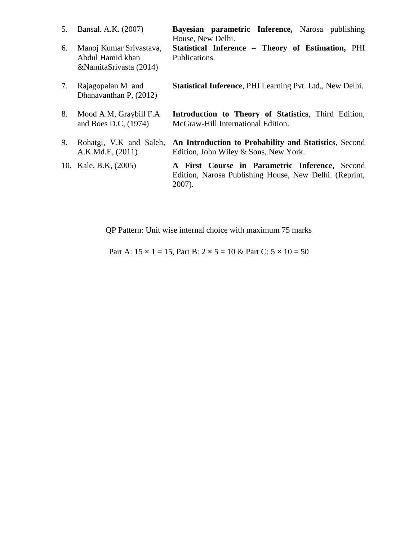| 5. | Bansal. A.K. (2007)                                                   | Bayesian parametric Inference, Narosa publishing<br>House, New Delhi.                                                 |
|----|-----------------------------------------------------------------------|-----------------------------------------------------------------------------------------------------------------------|
| 6. | Manoj Kumar Srivastava,<br>Abdul Hamid khan<br>&NamitaSrivasta (2014) | Statistical Inference - Theory of Estimation, PHI<br>Publications.                                                    |
| 7. | Rajagopalan M and<br>Dhanavanthan P, (2012)                           | <b>Statistical Inference, PHI Learning Pvt. Ltd., New Delhi.</b>                                                      |
| 8. | Mood A.M, Graybill F.A<br>and Boes D.C. (1974)                        | Introduction to Theory of Statistics, Third Edition,<br>McGraw-Hill International Edition.                            |
| 9. | Rohatgi, V.K and Saleh,<br>A.K.Md.E, (2011)                           | An Introduction to Probability and Statistics, Second<br>Edition, John Wiley & Sons, New York.                        |
|    | 10. Kale, B.K. (2005)                                                 | A First Course in Parametric Inference, Second<br>Edition, Narosa Publishing House, New Delhi. (Reprint,<br>$2007$ ). |

Part A:  $15 \times 1 = 15$ , Part B:  $2 \times 5 = 10$  & Part C:  $5 \times 10 = 50$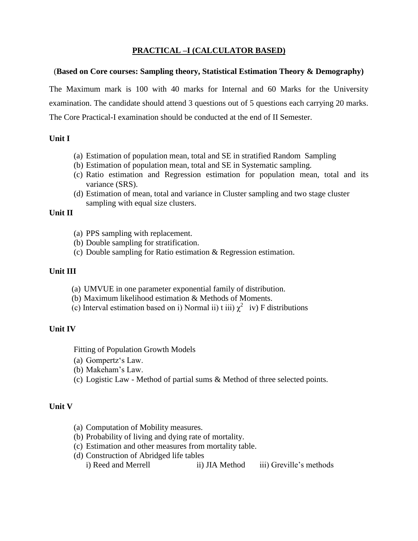## **PRACTICAL –I (CALCULATOR BASED)**

#### (**Based on Core courses: Sampling theory, Statistical Estimation Theory & Demography)**

The Maximum mark is 100 with 40 marks for Internal and 60 Marks for the University examination. The candidate should attend 3 questions out of 5 questions each carrying 20 marks. The Core Practical-I examination should be conducted at the end of II Semester.

#### **Unit I**

- (a) Estimation of population mean, total and SE in stratified Random Sampling
- (b) Estimation of population mean, total and SE in Systematic sampling.
- (c) Ratio estimation and Regression estimation for population mean, total and its variance (SRS).
- (d) Estimation of mean, total and variance in Cluster sampling and two stage cluster sampling with equal size clusters.

#### **Unit II**

- (a) PPS sampling with replacement.
- (b) Double sampling for stratification.
- (c) Double sampling for Ratio estimation & Regression estimation.

#### **Unit III**

- (a) UMVUE in one parameter exponential family of distribution.
- (b) Maximum likelihood estimation & Methods of Moments.
- (c) Interval estimation based on i) Normal ii) t iii)  $\chi^2$  iv) F distributions

#### **Unit IV**

Fitting of Population Growth Models

- (a) Gompertz"s Law.
- (b) Makeham"s Law.
- (c) Logistic Law Method of partial sums & Method of three selected points.

#### **Unit V**

- (a) Computation of Mobility measures.
- (b) Probability of living and dying rate of mortality.
- (c) Estimation and other measures from mortality table.
- (d) Construction of Abridged life tables i) Reed and Merrell ii) JIA Method iii) Greville's methods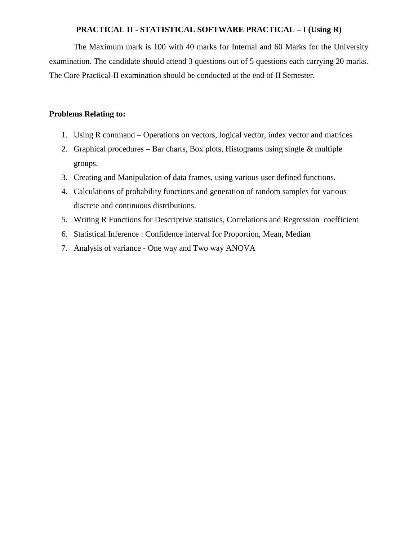#### **PRACTICAL II - STATISTICAL SOFTWARE PRACTICAL – I (Using R)**

The Maximum mark is 100 with 40 marks for Internal and 60 Marks for the University examination. The candidate should attend 3 questions out of 5 questions each carrying 20 marks. The Core Practical-II examination should be conducted at the end of II Semester.

#### **Problems Relating to:**

- 1. Using R command Operations on vectors, logical vector, index vector and matrices
- 2. Graphical procedures Bar charts, Box plots, Histograms using single & multiple groups.
- 3. Creating and Manipulation of data frames, using various user defined functions.
- 4. Calculations of probability functions and generation of random samples for various discrete and continuous distributions.
- 5. Writing R Functions for Descriptive statistics, Correlations and Regression coefficient
- 6. Statistical Inference : Confidence interval for Proportion, Mean, Median
- 7. Analysis of variance One way and Two way ANOVA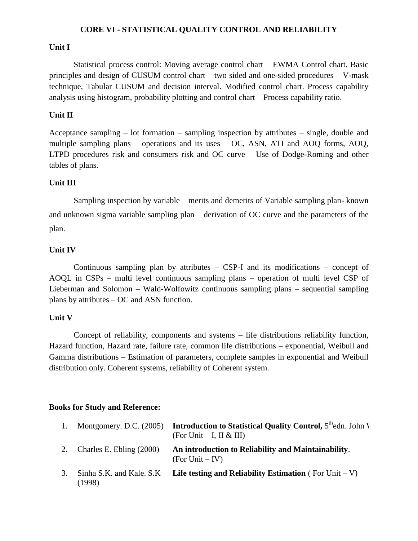#### **CORE VI - STATISTICAL QUALITY CONTROL AND RELIABILITY**

#### **Unit I**

Statistical process control: Moving average control chart – EWMA Control chart. Basic principles and design of CUSUM control chart – two sided and one-sided procedures – V-mask technique, Tabular CUSUM and decision interval. Modified control chart. Process capability analysis using histogram, probability plotting and control chart – Process capability ratio.

#### **Unit II**

Acceptance sampling – lot formation – sampling inspection by attributes – single, double and multiple sampling plans – operations and its uses – OC, ASN, ATI and AOQ forms, AOQ, LTPD procedures risk and consumers risk and OC curve – Use of Dodge-Roming and other tables of plans.

### **Unit III**

Sampling inspection by variable – merits and demerits of Variable sampling plan- known and unknown sigma variable sampling plan – derivation of OC curve and the parameters of the plan.

#### **Unit IV**

Continuous sampling plan by attributes – CSP-I and its modifications – concept of AOQL in CSPs – multi level continuous sampling plans – operation of multi level CSP of Lieberman and Solomon – Wald-Wolfowitz continuous sampling plans – sequential sampling plans by attributes – OC and ASN function.

#### **Unit V**

Concept of reliability, components and systems – life distributions reliability function, Hazard function, Hazard rate, failure rate, common life distributions – exponential, Weibull and Gamma distributions – Estimation of parameters, complete samples in exponential and Weibull distribution only. Coherent systems, reliability of Coherent system.

#### **Books for Study and Reference:**

| 1. | Montgomery. D.C. $(2005)$          | <b>Introduction to Statistical Quality Control, <math>5^{\text{th}}</math>edn. John V</b><br>(For Unit $-$ I, II & III) |
|----|------------------------------------|-------------------------------------------------------------------------------------------------------------------------|
|    | 2. Charles E. Ebling $(2000)$      | An introduction to Reliability and Maintainability.<br>$(For Unit - IV)$                                                |
| 3. | Sinha S.K. and Kale. S.K<br>(1998) | <b>Life testing and Reliability Estimation</b> (For Unit $-V$ )                                                         |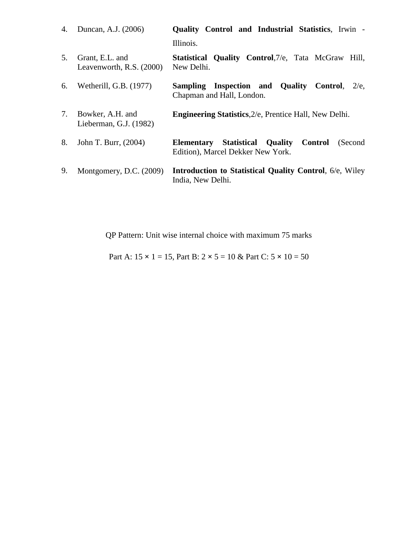| 4. | Duncan, A.J. (2006)                           | <b>Quality Control and Industrial Statistics, Irwin -</b>                                         |
|----|-----------------------------------------------|---------------------------------------------------------------------------------------------------|
|    |                                               | Illinois.                                                                                         |
| 5. | Grant, E.L. and<br>Leavenworth, R.S. $(2000)$ | <b>Statistical Quality Control, 7/e, Tata McGraw Hill,</b><br>New Delhi.                          |
| 6. | Wetherill, G.B. (1977)                        | Sampling Inspection and Quality<br>Control.<br>$2/e$ .<br>Chapman and Hall, London.               |
| 7. | Bowker, A.H. and<br>Lieberman, G.J. (1982)    | <b>Engineering Statistics, 2/e, Prentice Hall, New Delhi.</b>                                     |
| 8. | John T. Burr, (2004)                          | <b>Elementary Statistical Quality</b><br>Control<br>(Second)<br>Edition), Marcel Dekker New York. |
| 9. | Montgomery, D.C. (2009)                       | <b>Introduction to Statistical Quality Control, 6/e, Wiley</b><br>India, New Delhi.               |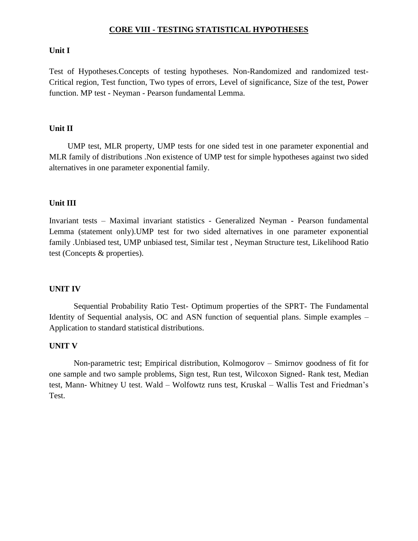#### **CORE VIII - TESTING STATISTICAL HYPOTHESES**

#### **Unit I**

Test of Hypotheses.Concepts of testing hypotheses. Non-Randomized and randomized test-Critical region, Test function, Two types of errors, Level of significance, Size of the test, Power function. MP test - Neyman - Pearson fundamental Lemma.

#### **Unit II**

 UMP test, MLR property, UMP tests for one sided test in one parameter exponential and MLR family of distributions .Non existence of UMP test for simple hypotheses against two sided alternatives in one parameter exponential family.

#### **Unit III**

Invariant tests – Maximal invariant statistics - Generalized Neyman - Pearson fundamental Lemma (statement only).UMP test for two sided alternatives in one parameter exponential family .Unbiased test, UMP unbiased test, Similar test , Neyman Structure test, Likelihood Ratio test (Concepts & properties).

#### **UNIT IV**

 Sequential Probability Ratio Test- Optimum properties of the SPRT- The Fundamental Identity of Sequential analysis, OC and ASN function of sequential plans. Simple examples – Application to standard statistical distributions.

#### **UNIT V**

 Non-parametric test; Empirical distribution, Kolmogorov – Smirnov goodness of fit for one sample and two sample problems, Sign test, Run test, Wilcoxon Signed- Rank test, Median test, Mann- Whitney U test. Wald – Wolfowtz runs test, Kruskal – Wallis Test and Friedman"s Test.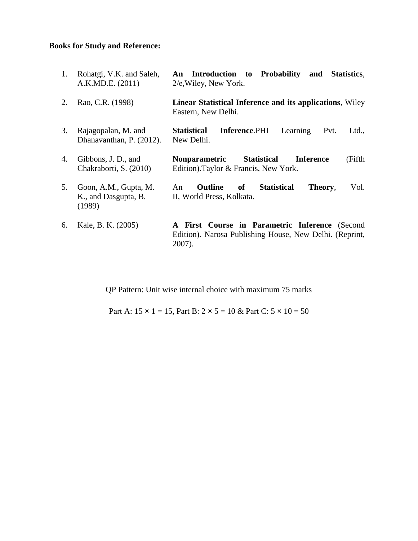## **Books for Study and Reference:**

| 1. | Rohatgi, V.K. and Saleh,<br>A.K.MD.E. (2011)            | An Introduction to Probability<br>and<br><b>Statistics,</b><br>$2/e$ , Wiley, New York.                             |
|----|---------------------------------------------------------|---------------------------------------------------------------------------------------------------------------------|
| 2. | Rao, C.R. (1998)                                        | <b>Linear Statistical Inference and its applications, Wiley</b><br>Eastern, New Delhi.                              |
| 3. | Rajagopalan, M. and<br>Dhanavanthan, P. (2012).         | <b>Statistical</b><br><b>Inference.</b> PHI Learning<br>Pvt.<br>Ltd.,<br>New Delhi.                                 |
| 4. | Gibbons, J. D., and<br>Chakraborti, S. (2010)           | (Fifth<br>Statistical Inference<br><b>Nonparametric</b><br>Edition). Taylor & Francis, New York.                    |
| 5. | Goon, A.M., Gupta, M.<br>K., and Dasgupta, B.<br>(1989) | <b>Outline</b><br>of<br><b>Statistical</b><br>Vol.<br>Theory,<br>An<br>II, World Press, Kolkata.                    |
| 6. | Kale, B. K. (2005)                                      | A First Course in Parametric Inference (Second<br>Edition). Narosa Publishing House, New Delhi. (Reprint,<br>2007). |

QP Pattern: Unit wise internal choice with maximum 75 marks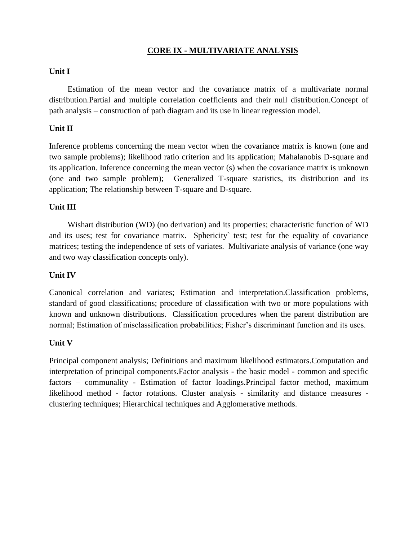### **CORE IX - MULTIVARIATE ANALYSIS**

#### **Unit I**

Estimation of the mean vector and the covariance matrix of a multivariate normal distribution.Partial and multiple correlation coefficients and their null distribution.Concept of path analysis – construction of path diagram and its use in linear regression model.

#### **Unit II**

Inference problems concerning the mean vector when the covariance matrix is known (one and two sample problems); likelihood ratio criterion and its application; Mahalanobis D-square and its application. Inference concerning the mean vector (s) when the covariance matrix is unknown (one and two sample problem); Generalized T-square statistics, its distribution and its application; The relationship between T-square and D-square.

#### **Unit III**

 Wishart distribution (WD) (no derivation) and its properties; characteristic function of WD and its uses; test for covariance matrix. Sphericity` test; test for the equality of covariance matrices; testing the independence of sets of variates. Multivariate analysis of variance (one way and two way classification concepts only).

#### **Unit IV**

Canonical correlation and variates; Estimation and interpretation.Classification problems, standard of good classifications; procedure of classification with two or more populations with known and unknown distributions. Classification procedures when the parent distribution are normal; Estimation of misclassification probabilities; Fisher's discriminant function and its uses.

#### **Unit V**

Principal component analysis; Definitions and maximum likelihood estimators.Computation and interpretation of principal components.Factor analysis - the basic model - common and specific factors – communality - Estimation of factor loadings.Principal factor method, maximum likelihood method - factor rotations. Cluster analysis - similarity and distance measures clustering techniques; Hierarchical techniques and Agglomerative methods.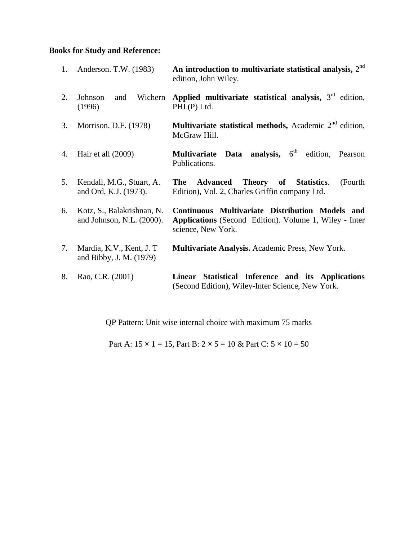## **Books for Study and Reference:**

|    | 1. Anderson. T.W. (1983)                                   | An introduction to multivariate statistical analysis, $2nd$<br>edition, John Wiley.                                                    |  |  |  |  |  |
|----|------------------------------------------------------------|----------------------------------------------------------------------------------------------------------------------------------------|--|--|--|--|--|
| 2. | Wichern<br>Johnson<br>and<br>(1996)                        | Applied multivariate statistical analysis, $3rd$ edition,<br>PHI (P) Ltd.                                                              |  |  |  |  |  |
| 3. | Morrison. D.F. (1978)                                      | <b>Multivariate statistical methods,</b> Academic $2^{nd}$ edition,<br>McGraw Hill.                                                    |  |  |  |  |  |
| 4. | Hair et all (2009)                                         | <b>Data</b> analysis, $6^{\text{th}}$ edition,<br><b>Multivariate</b><br>Pearson<br>Publications.                                      |  |  |  |  |  |
| 5. | Kendall, M.G., Stuart, A.<br>and Ord, K.J. (1973).         | Theory of Statistics.<br>The<br><b>Advanced</b><br>(Fourth)<br>Edition), Vol. 2, Charles Griffin company Ltd.                          |  |  |  |  |  |
| 6. | Kotz, S., Balakrishnan, N.<br>and Johnson, N.L. $(2000)$ . | Continuous Multivariate Distribution Models and<br><b>Applications</b> (Second Edition). Volume 1, Wiley - Inter<br>science, New York. |  |  |  |  |  |
| 7. | Mardia, K.V., Kent, J.T.<br>and Bibby, J. M. (1979)        | Multivariate Analysis. Academic Press, New York.                                                                                       |  |  |  |  |  |
| 8. | Rao, C.R. (2001)                                           | Statistical Inference and its Applications<br><b>Linear</b><br>(Second Edition), Wiley-Inter Science, New York.                        |  |  |  |  |  |

QP Pattern: Unit wise internal choice with maximum 75 marks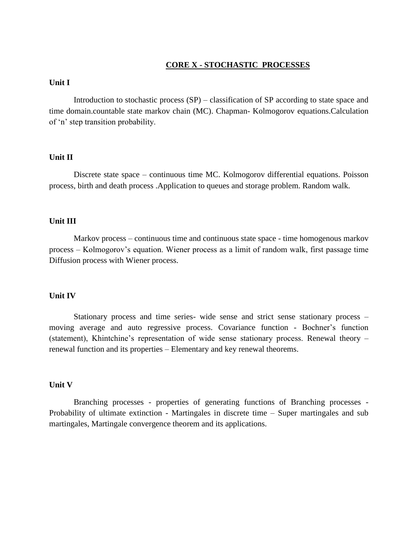#### **CORE X - STOCHASTIC PROCESSES**

#### **Unit I**

Introduction to stochastic process (SP) – classification of SP according to state space and time domain.countable state markov chain (MC). Chapman- Kolmogorov equations.Calculation of "n" step transition probability.

#### **Unit II**

Discrete state space – continuous time MC. Kolmogorov differential equations. Poisson process, birth and death process .Application to queues and storage problem. Random walk.

#### **Unit III**

Markov process – continuous time and continuous state space - time homogenous markov process – Kolmogorov"s equation. Wiener process as a limit of random walk, first passage time Diffusion process with Wiener process.

#### **Unit IV**

Stationary process and time series- wide sense and strict sense stationary process – moving average and auto regressive process. Covariance function - Bochner"s function (statement), Khintchine"s representation of wide sense stationary process. Renewal theory – renewal function and its properties – Elementary and key renewal theorems.

#### **Unit V**

Branching processes - properties of generating functions of Branching processes - Probability of ultimate extinction - Martingales in discrete time – Super martingales and sub martingales, Martingale convergence theorem and its applications.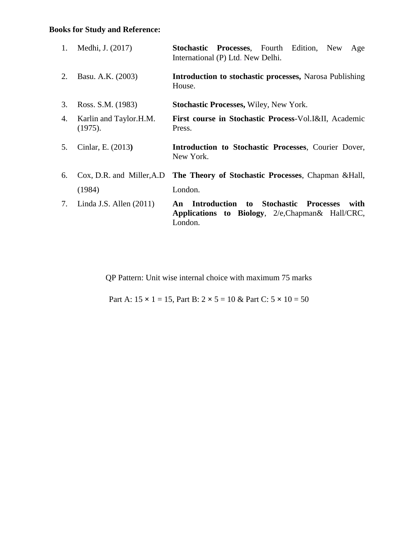## **Books for Study and Reference:**

| 1. | Medhi, J. (2017)                  | Stochastic Processes, Fourth Edition, New<br>Age<br>International (P) Ltd. New Delhi.                           |  |  |  |  |  |  |
|----|-----------------------------------|-----------------------------------------------------------------------------------------------------------------|--|--|--|--|--|--|
| 2. | Basu. A.K. (2003)                 | <b>Introduction to stochastic processes, Narosa Publishing</b><br>House.                                        |  |  |  |  |  |  |
| 3. | Ross. S.M. (1983)                 | <b>Stochastic Processes, Wiley, New York.</b>                                                                   |  |  |  |  |  |  |
| 4. | Karlin and Taylor.H.M.<br>(1975). | First course in Stochastic Process-Vol. I&II, Academic<br>Press.                                                |  |  |  |  |  |  |
| 5. | Cinlar, E. (2013)                 | Introduction to Stochastic Processes, Courier Dover,<br>New York.                                               |  |  |  |  |  |  |
| 6. |                                   | Cox, D.R. and Miller, A.D The Theory of Stochastic Processes, Chapman & Hall,                                   |  |  |  |  |  |  |
|    | (1984)                            | London.                                                                                                         |  |  |  |  |  |  |
| 7. | Linda J.S. Allen $(2011)$         | An Introduction to Stochastic Processes<br>with<br>Applications to Biology, 2/e, Chapman & Hall/CRC,<br>London. |  |  |  |  |  |  |

QP Pattern: Unit wise internal choice with maximum 75 marks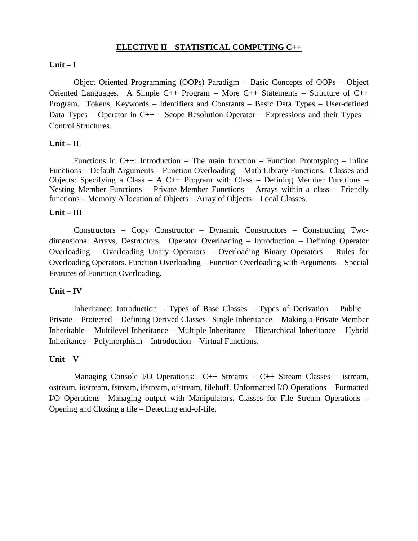#### **ELECTIVE II – STATISTICAL COMPUTING C++**

#### **Unit – I**

Object Oriented Programming (OOPs) Paradigm – Basic Concepts of OOPs – Object Oriented Languages. A Simple C++ Program – More C++ Statements – Structure of C++ Program. Tokens, Keywords – Identifiers and Constants – Basic Data Types – User-defined Data Types – Operator in  $C_{++}$  – Scope Resolution Operator – Expressions and their Types – Control Structures.

#### **Unit – II**

Functions in  $C++$ : Introduction – The main function – Function Prototyping – Inline Functions – Default Arguments – Function Overloading – Math Library Functions. Classes and Objects: Specifying a Class – A C++ Program with Class – Defining Member Functions – Nesting Member Functions – Private Member Functions – Arrays within a class – Friendly functions – Memory Allocation of Objects – Array of Objects – Local Classes.

#### **Unit – III**

Constructors – Copy Constructor – Dynamic Constructors – Constructing Twodimensional Arrays, Destructors. Operator Overloading – Introduction – Defining Operator Overloading – Overloading Unary Operators – Overloading Binary Operators – Rules for Overloading Operators. Function Overloading – Function Overloading with Arguments – Special Features of Function Overloading.

#### **Unit – IV**

Inheritance: Introduction – Types of Base Classes – Types of Derivation – Public – Private – Protected – Defining Derived Classes –Single Inheritance – Making a Private Member Inheritable – Multilevel Inheritance – Multiple Inheritance – Hierarchical Inheritance – Hybrid Inheritance – Polymorphism – Introduction – Virtual Functions.

#### **Unit – V**

Managing Console I/O Operations:  $C_{++}$  Streams –  $C_{++}$  Stream Classes – istream, ostream, iostream, fstream, ifstream, ofstream, filebuff. Unformatted I/O Operations – Formatted I/O Operations –Managing output with Manipulators. Classes for File Stream Operations – Opening and Closing a file – Detecting end-of-file.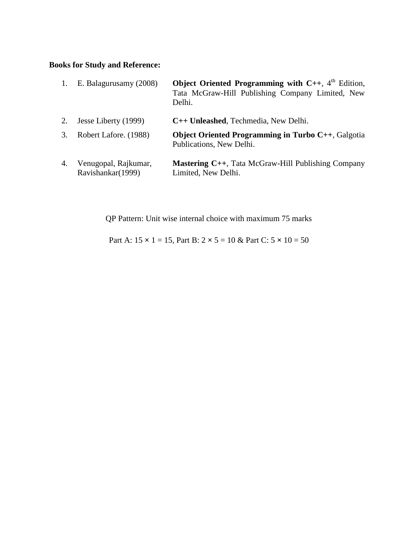## **Books for Study and Reference:**

| 1. | E. Balagurusamy (2008)                    | Object Oriented Programming with $C_{++}$ , 4 <sup>th</sup> Edition,<br>Tata McGraw-Hill Publishing Company Limited, New<br>Delhi. |
|----|-------------------------------------------|------------------------------------------------------------------------------------------------------------------------------------|
| 2. | Jesse Liberty (1999)                      | C++ Unleashed, Techmedia, New Delhi.                                                                                               |
| 3. | Robert Lafore. (1988)                     | <b>Object Oriented Programming in Turbo C++, Galgotia</b><br>Publications, New Delhi.                                              |
| 4. | Venugopal, Rajkumar,<br>Ravishankar(1999) | <b>Mastering C++, Tata McGraw-Hill Publishing Company</b><br>Limited, New Delhi.                                                   |

QP Pattern: Unit wise internal choice with maximum 75 marks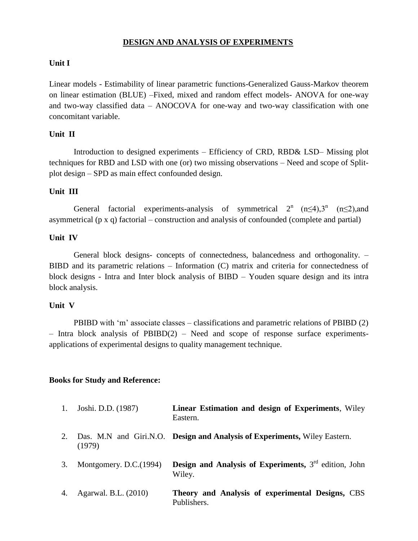#### **DESIGN AND ANALYSIS OF EXPERIMENTS**

#### **Unit I**

Linear models - Estimability of linear parametric functions-Generalized Gauss-Markov theorem on linear estimation (BLUE) –Fixed, mixed and random effect models- ANOVA for one-way and two-way classified data – ANOCOVA for one-way and two-way classification with one concomitant variable.

#### **Unit II**

Introduction to designed experiments – Efficiency of CRD, RBD& LSD– Missing plot techniques for RBD and LSD with one (or) two missing observations – Need and scope of Splitplot design – SPD as main effect confounded design.

#### **Unit III**

General factorial experiments-analysis of symmetrical  $2^{n}$  (n≤4),3<sup>n</sup> (n≤2),and asymmetrical (p x q) factorial – construction and analysis of confounded (complete and partial)

#### **Unit IV**

General block designs- concepts of connectedness, balancedness and orthogonality. – BIBD and its parametric relations – Information (C) matrix and criteria for connectedness of block designs - Intra and Inter block analysis of BIBD – Youden square design and its intra block analysis.

#### **Unit V**

PBIBD with "m" associate classes – classifications and parametric relations of PBIBD (2) – Intra block analysis of PBIBD(2) – Need and scope of response surface experimentsapplications of experimental designs to quality management technique.

#### **Books for Study and Reference:**

| 1. | Joshi. D.D. (1987)     | Linear Estimation and design of Experiments, Wiley<br>Eastern.            |
|----|------------------------|---------------------------------------------------------------------------|
| 2. | (1979)                 | Das. M.N and Giri.N.O. Design and Analysis of Experiments, Wiley Eastern. |
| 3. | Montgomery. D.C.(1994) | <b>Design and Analysis of Experiments,</b> $3rd$ edition, John<br>Wiley.  |
| 4. | Agarwal. B.L. (2010)   | Theory and Analysis of experimental Designs, CBS<br>Publishers.           |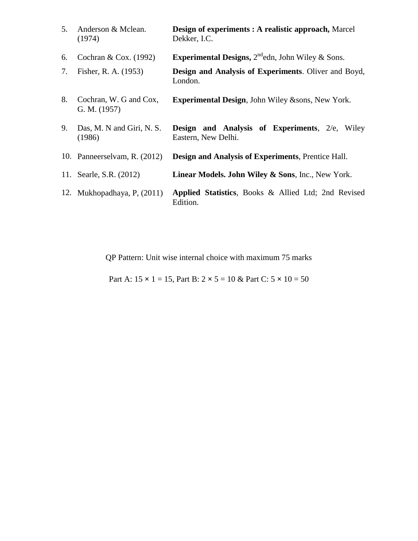| 5. | Anderson & Mclean.<br>(1974)           | <b>Design of experiments : A realistic approach, Marcel</b><br>Dekker, I.C.     |  |  |  |  |  |  |
|----|----------------------------------------|---------------------------------------------------------------------------------|--|--|--|--|--|--|
| 6. | Cochran & Cox. $(1992)$                | <b>Experimental Designs,</b> $2^{nd}$ edn, John Wiley & Sons.                   |  |  |  |  |  |  |
| 7. | Fisher, R. A. (1953)                   | <b>Design and Analysis of Experiments.</b> Oliver and Boyd,<br>London.          |  |  |  |  |  |  |
| 8. | Cochran, W. G and Cox,<br>G. M. (1957) | <b>Experimental Design, John Wiley &amp;sons, New York.</b>                     |  |  |  |  |  |  |
| 9. | Das, M. N and Giri, N. S.<br>(1986)    | <b>Design and Analysis of Experiments, 2/e,</b><br>Wiley<br>Eastern, New Delhi. |  |  |  |  |  |  |
|    | 10. Panneerselvam, R. (2012)           | <b>Design and Analysis of Experiments, Prentice Hall.</b>                       |  |  |  |  |  |  |
|    | 11. Searle, S.R. (2012)                | Linear Models. John Wiley & Sons, Inc., New York.                               |  |  |  |  |  |  |
|    | 12. Mukhopadhaya, P, (2011)            | Applied Statistics, Books & Allied Ltd; 2nd Revised<br>Edition.                 |  |  |  |  |  |  |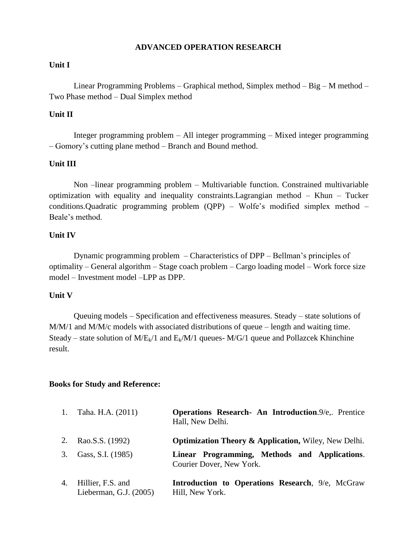#### **ADVANCED OPERATION RESEARCH**

#### **Unit I**

Linear Programming Problems – Graphical method, Simplex method – Big – M method – Two Phase method – Dual Simplex method

#### **Unit II**

Integer programming problem – All integer programming – Mixed integer programming – Gomory"s cutting plane method – Branch and Bound method.

#### **Unit III**

Non –linear programming problem – Multivariable function. Constrained multivariable optimization with equality and inequality constraints.Lagrangian method – Khun – Tucker conditions.Quadratic programming problem (QPP) – Wolfe"s modified simplex method – Beale"s method.

#### **Unit IV**

Dynamic programming problem – Characteristics of DPP – Bellman"s principles of optimality – General algorithm – Stage coach problem – Cargo loading model – Work force size model – Investment model –LPP as DPP.

#### **Unit V**

Queuing models – Specification and effectiveness measures. Steady – state solutions of M/M/1 and M/M/c models with associated distributions of queue – length and waiting time. Steady – state solution of  $M/E_k/1$  and  $E_k/M/1$  queues-  $M/G/1$  queue and Pollazcek Khinchine result.

#### **Books for Study and Reference:**

| 1. | Taha. H.A. (2011)                           | <b>Operations Research- An Introduction.</b> 9/e,. Prentice<br>Hall, New Delhi. |
|----|---------------------------------------------|---------------------------------------------------------------------------------|
|    | 2. Rao.S.S. (1992)                          | <b>Optimization Theory &amp; Application, Wiley, New Delhi.</b>                 |
| 3. | Gass, S.I. (1985)                           | Linear Programming, Methods and Applications.<br>Courier Dover, New York.       |
| 4. | Hillier, F.S. and<br>Lieberman, G.J. (2005) | <b>Introduction to Operations Research, 9/e, McGraw</b><br>Hill, New York.      |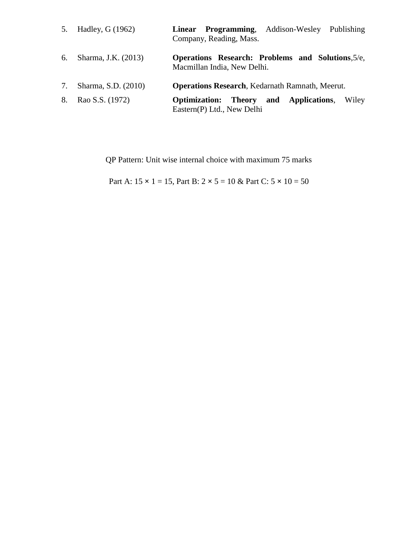|    | 5. Hadley, G (1962) | Linear Programming, Addison-Wesley Publishing<br>Company, Reading, Mass.         |
|----|---------------------|----------------------------------------------------------------------------------|
| 6. | Sharma, J.K. (2013) | Operations Research: Problems and Solutions, 5/e,<br>Macmillan India, New Delhi. |
| 7. | Sharma, S.D. (2010) | <b>Operations Research, Kedarnath Ramnath, Meerut.</b>                           |
| 8. | Rao S.S. (1972)     | Optimization: Theory and Applications,<br>Wiley<br>Eastern(P) Ltd., New Delhi    |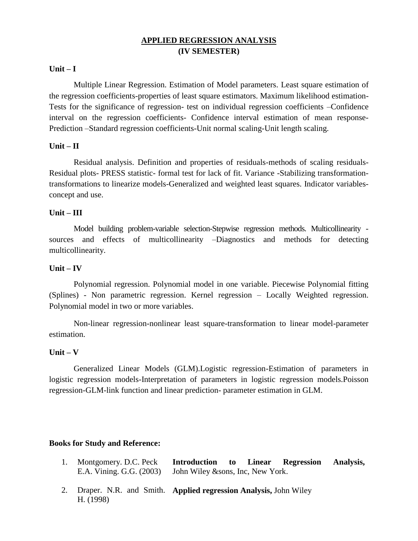## **APPLIED REGRESSION ANALYSIS (IV SEMESTER)**

#### **Unit – I**

Multiple Linear Regression. Estimation of Model parameters. Least square estimation of the regression coefficients-properties of least square estimators. Maximum likelihood estimation-Tests for the significance of regression- test on individual regression coefficients –Confidence interval on the regression coefficients- Confidence interval estimation of mean response-Prediction –Standard regression coefficients-Unit normal scaling-Unit length scaling.

#### **Unit – II**

Residual analysis. Definition and properties of residuals-methods of scaling residuals-Residual plots- PRESS statistic- formal test for lack of fit. Variance -Stabilizing transformationtransformations to linearize models-Generalized and weighted least squares. Indicator variablesconcept and use.

#### **Unit – III**

Model building problem-variable selection-Stepwise regression methods. Multicollinearity sources and effects of multicollinearity –Diagnostics and methods for detecting multicollinearity.

#### **Unit – IV**

Polynomial regression. Polynomial model in one variable. Piecewise Polynomial fitting (Splines) - Non parametric regression. Kernel regression – Locally Weighted regression. Polynomial model in two or more variables.

Non-linear regression-nonlinear least square-transformation to linear model-parameter estimation.

#### **Unit – V**

Generalized Linear Models (GLM).Logistic regression-Estimation of parameters in logistic regression models-Interpretation of parameters in logistic regression models.Poisson regression-GLM-link function and linear prediction- parameter estimation in GLM.

#### **Books for Study and Reference:**

| Montgomery. D.C. Peck Introduction to Linear Regression Analysis, |  |  |  |
|-------------------------------------------------------------------|--|--|--|
| E.A. Vining. G.G. (2003) John Wiley &sons, Inc, New York.         |  |  |  |

2. Draper. N.R. and Smith. **Applied regression Analysis,** John WileyH. (1998)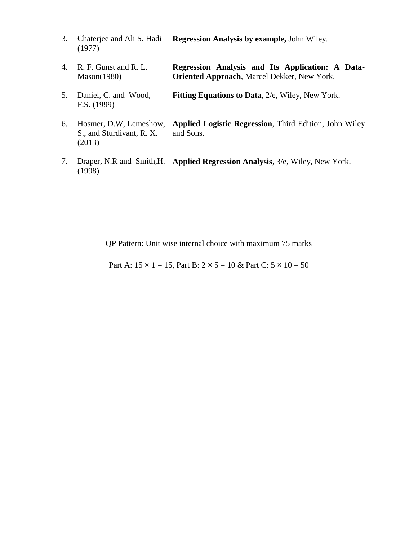- 3. Chaterjee and Ali S. Hadi (1977) **Regression Analysis by example,** John Wiley.
- 4. R. F. Gunst and R. L. Mason(1980) **Regression Analysis and Its Application: A Data-Oriented Approach**, Marcel Dekker, New York.
- 5. Daniel, C. and Wood, F.S. (1999) **Fitting Equations to Data**, 2/e, Wiley, New York.
- 6. Hosmer, D.W, Lemeshow, S., and Sturdivant, R. X. (2013) **Applied Logistic Regression**, Third Edition, John Wiley and Sons.
- 7. Draper, N.R and Smith,H. **Applied Regression Analysis**, 3/e, Wiley, New York. (1998)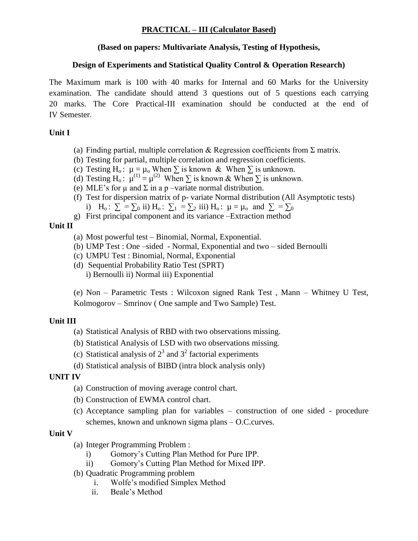## **PRACTICAL – III (Calculator Based)**

### **(Based on papers: Multivariate Analysis, Testing of Hypothesis,**

## **Design of Experiments and Statistical Quality Control & Operation Research)**

The Maximum mark is 100 with 40 marks for Internal and 60 Marks for the University examination. The candidate should attend 3 questions out of 5 questions each carrying 20 marks. The Core Practical-III examination should be conducted at the end of IV Semester.

## **Unit I**

- (a) Finding partial, multiple correlation & Regression coefficients from  $\Sigma$  matrix.
- (b) Testing for partial, multiple correlation and regression coefficients.
- (c) Testing H<sub>o</sub>:  $\mu = \mu_0$  When  $\Sigma$  is known & When  $\Sigma$  is unknown.
- (d) Testing H<sub>o</sub>:  $\mu^{(1)} = \mu^{(2)}$  When  $\Sigma$  is known & When  $\Sigma$  is unknown.
- (e) MLE's for  $\mu$  and  $\Sigma$  in a p –variate normal distribution.
- (f) Test for dispersion matrix of p- variate Normal distribution (All Asymptotic tests) i) H<sub>o</sub>:  $\Sigma = \sum_0$  ii) H<sub>o</sub>:  $\Sigma_1 = \sum_2$  iii) H<sub>o</sub>:  $\mu = \mu_0$  and  $\Sigma = \sum_0$
- g) First principal component and its variance –Extraction method

## **Unit II**

- (a) Most powerful test Binomial, Normal, Exponential.
- (b) UMP Test : One –sided Normal, Exponential and two sided Bernoulli
- (c) UMPU Test : Binomial, Normal, Exponential
- (d) Sequential Probability Ratio Test (SPRT) i) Bernoulli ii) Normal iii) Exponential

(e) Non – Parametric Tests : Wilcoxon signed Rank Test , Mann – Whitney U Test, Kolmogorov – Smrinov ( One sample and Two Sample) Test.

## **Unit III**

- (a) Statistical Analysis of RBD with two observations missing.
- (b) Statistical Analysis of LSD with two observations missing.
- (c) Statistical analysis of  $2<sup>3</sup>$  and  $3<sup>2</sup>$  factorial experiments
- (d) Statistical analysis of BIBD (intra block analysis only)

## **UNIT IV**

- (a) Construction of moving average control chart.
- (b) Construction of EWMA control chart.
- (c) Acceptance sampling plan for variables construction of one sided procedure schemes, known and unknown sigma plans – O.C.curves.

## **Unit V**

- (a) Integer Programming Problem :
	- i) Gomory"s Cutting Plan Method for Pure IPP.
	- ii) Gomory"s Cutting Plan Method for Mixed IPP.
- (b) Quadratic Programming problem
	- i. Wolfe"s modified Simplex Method
	- ii. Beale"s Method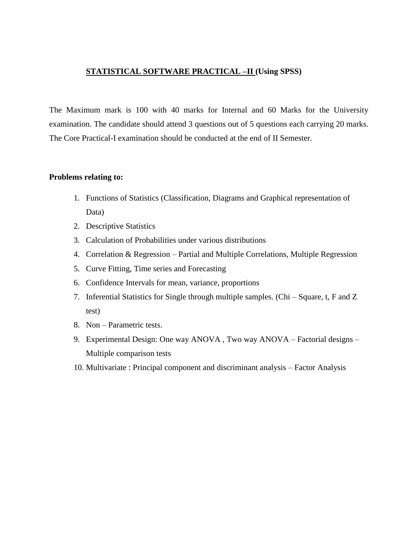## **STATISTICAL SOFTWARE PRACTICAL –II (Using SPSS)**

The Maximum mark is 100 with 40 marks for Internal and 60 Marks for the University examination. The candidate should attend 3 questions out of 5 questions each carrying 20 marks. The Core Practical-I examination should be conducted at the end of II Semester.

#### **Problems relating to:**

- 1. Functions of Statistics (Classification, Diagrams and Graphical representation of Data)
- 2. Descriptive Statistics
- 3. Calculation of Probabilities under various distributions
- 4. Correlation & Regression Partial and Multiple Correlations, Multiple Regression
- 5. Curve Fitting, Time series and Forecasting
- 6. Confidence Intervals for mean, variance, proportions
- 7. Inferential Statistics for Single through multiple samples. (Chi Square, t, F and Z test)
- 8. Non Parametric tests.
- 9. Experimental Design: One way ANOVA , Two way ANOVA Factorial designs Multiple comparison tests
- 10. Multivariate : Principal component and discriminant analysis Factor Analysis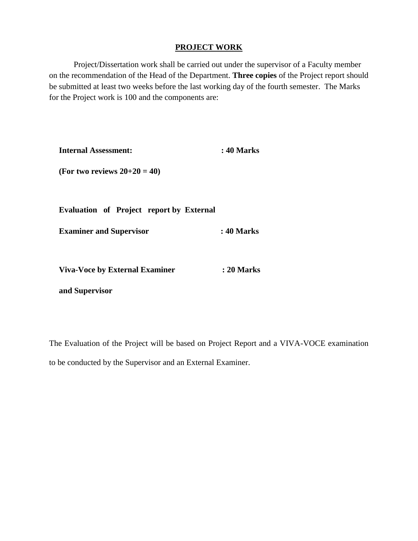#### **PROJECT WORK**

Project/Dissertation work shall be carried out under the supervisor of a Faculty member on the recommendation of the Head of the Department. **Three copies** of the Project report should be submitted at least two weeks before the last working day of the fourth semester. The Marks for the Project work is 100 and the components are:

| <b>Internal Assessment:</b>                     | : 40 Marks |  |  |  |
|-------------------------------------------------|------------|--|--|--|
| (For two reviews $20+20 = 40$ )                 |            |  |  |  |
|                                                 |            |  |  |  |
| <b>Evaluation of Project report by External</b> |            |  |  |  |
| <b>Examiner and Supervisor</b>                  | : 40 Marks |  |  |  |
|                                                 |            |  |  |  |
| <b>Viva-Voce by External Examiner</b>           | : 20 Marks |  |  |  |
| and Supervisor                                  |            |  |  |  |

The Evaluation of the Project will be based on Project Report and a VIVA-VOCE examination to be conducted by the Supervisor and an External Examiner.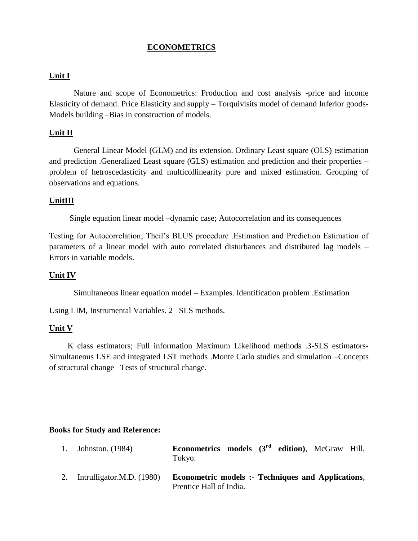### **ECONOMETRICS**

#### **Unit I**

 Nature and scope of Econometrics: Production and cost analysis -price and income Elasticity of demand. Price Elasticity and supply – Torquivisits model of demand Inferior goods-Models building –Bias in construction of models.

#### **Unit II**

General Linear Model (GLM) and its extension. Ordinary Least square (OLS) estimation and prediction .Generalized Least square (GLS) estimation and prediction and their properties – problem of hetroscedasticity and multicollinearity pure and mixed estimation. Grouping of observations and equations.

#### **UnitIII**

Single equation linear model –dynamic case; Autocorrelation and its consequences

Testing for Autocorrelation; Theil"s BLUS procedure .Estimation and Prediction Estimation of parameters of a linear model with auto correlated disturbances and distributed lag models – Errors in variable models.

#### **Unit IV**

Simultaneous linear equation model – Examples. Identification problem .Estimation

Using LIM, Instrumental Variables. 2 –SLS methods.

#### **Unit V**

 K class estimators; Full information Maximum Likelihood methods .3-SLS estimators-Simultaneous LSE and integrated LST methods .Monte Carlo studies and simulation –Concepts of structural change –Tests of structural change.

#### **Books for Study and Reference:**

| 1. Johnston. (1984)          | <b>Econometrics models</b> $(3^{rd}$ edition), McGraw Hill,<br>Tokyo.                |  |  |  |
|------------------------------|--------------------------------------------------------------------------------------|--|--|--|
| 2. Intrulligator.M.D. (1980) | <b>Econometric models :- Techniques and Applications.</b><br>Prentice Hall of India. |  |  |  |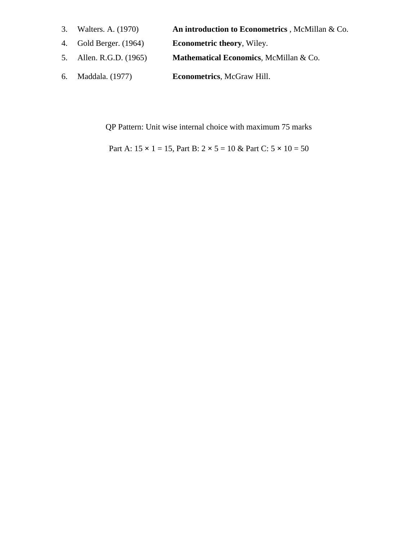- 3. Walters. A. (1970) **An introduction to Econometrics** , McMillan & Co.
- 4. Gold Berger. (1964) **Econometric theory**, Wiley.
- 5. Allen. R.G.D. (1965) **Mathematical Economics**, McMillan & Co.
- 6. Maddala. (1977) **Econometrics**, McGraw Hill.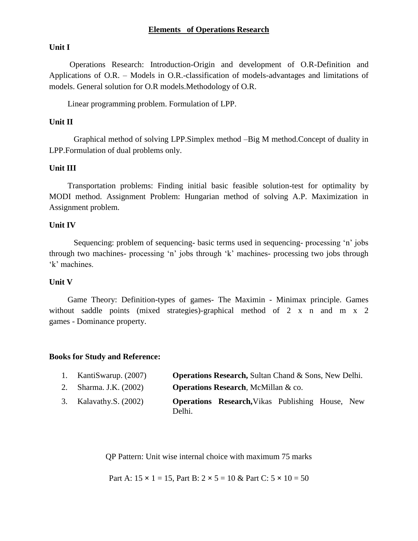#### **Elements of Operations Research**

#### **Unit I**

 Operations Research: Introduction-Origin and development of O.R-Definition and Applications of O.R. – Models in O.R.-classification of models-advantages and limitations of models. General solution for O.R models.Methodology of O.R.

Linear programming problem. Formulation of LPP.

#### **Unit II**

Graphical method of solving LPP.Simplex method –Big M method.Concept of duality in LPP.Formulation of dual problems only.

#### **Unit III**

 Transportation problems: Finding initial basic feasible solution-test for optimality by MODI method. Assignment Problem: Hungarian method of solving A.P. Maximization in Assignment problem.

#### **Unit IV**

Sequencing: problem of sequencing- basic terms used in sequencing- processing "n" jobs through two machines- processing "n" jobs through "k" machines- processing two jobs through 'k' machines.

#### **Unit V**

 Game Theory: Definition-types of games- The Maximin - Minimax principle. Games without saddle points (mixed strategies)-graphical method of 2 x n and m x 2 games - Dominance property.

#### **Books for Study and Reference:**

- 2. Sharma. J.K. (2002) **Operations Research**, McMillan & co.
- 3. Kalavathy.S. (2002) **Operations Research,**Vikas Publishing House, New Delhi.

QP Pattern: Unit wise internal choice with maximum 75 marks